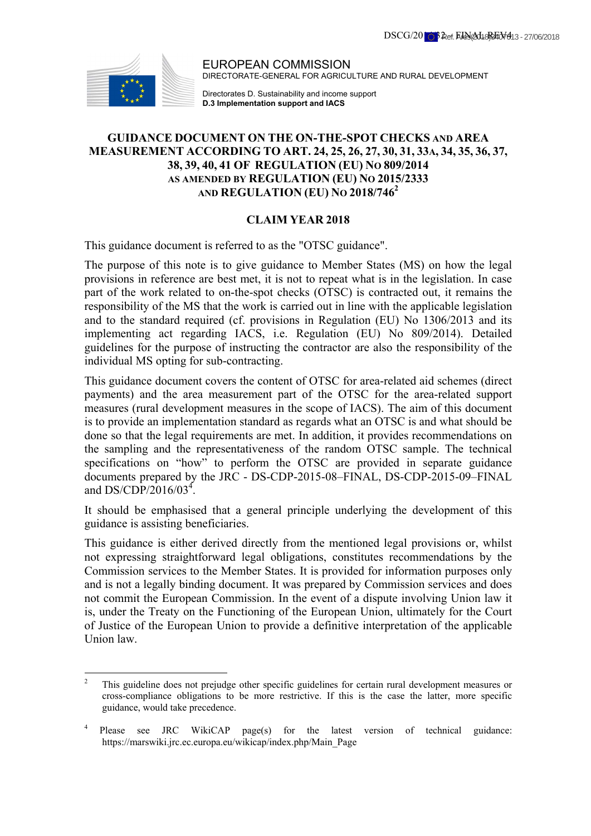

EUROPEAN COMMISSION DIRECTORATE-GENERAL FOR AGRICULTURE AND RURAL DEVELOPMENT

Directorates D. Sustainability and income support **D.3 Implementation support and IACS**

# **GUIDANCE DOCUMENT ON THE ON-THE-SPOT CHECKS AND AREA MEASUREMENT ACCORDING TO ART. 24, 25, 26, 27, 30, 31, 33A, 34, 35, 36, 37, 38, 39, 40, 41 OF REGULATION (EU) NO 809/2014 AS AMENDED BY REGULATION (EU) NO 2015/2333 AND REGULATION (EU) NO 2018/7462**

# **CLAIM YEAR 2018**

This guidance document is referred to as the "OTSC guidance".

The purpose of this note is to give guidance to Member States (MS) on how the legal provisions in reference are best met, it is not to repeat what is in the legislation. In case part of the work related to on-the-spot checks (OTSC) is contracted out, it remains the responsibility of the MS that the work is carried out in line with the applicable legislation and to the standard required (cf. provisions in Regulation (EU) No 1306/2013 and its implementing act regarding IACS, i.e. Regulation (EU) No 809/2014). Detailed guidelines for the purpose of instructing the contractor are also the responsibility of the individual MS opting for sub-contracting.

This guidance document covers the content of OTSC for area-related aid schemes (direct payments) and the area measurement part of the OTSC for the area-related support measures (rural development measures in the scope of IACS). The aim of this document is to provide an implementation standard as regards what an OTSC is and what should be done so that the legal requirements are met. In addition, it provides recommendations on the sampling and the representativeness of the random OTSC sample. The technical specifications on "how" to perform the OTSC are provided in separate guidance documents prepared by the JRC - DS-CDP-2015-08–FINAL, DS-CDP-2015-09–FINAL and DS/CDP/2016/03<sup>4</sup>.

It should be emphasised that a general principle underlying the development of this guidance is assisting beneficiaries.

This guidance is either derived directly from the mentioned legal provisions or, whilst not expressing straightforward legal obligations, constitutes recommendations by the Commission services to the Member States. It is provided for information purposes only and is not a legally binding document. It was prepared by Commission services and does not commit the European Commission. In the event of a dispute involving Union law it is, under the Treaty on the Functioning of the European Union, ultimately for the Court of Justice of the European Union to provide a definitive interpretation of the applicable Union law.

 $\frac{1}{2}$  This guideline does not prejudge other specific guidelines for certain rural development measures or cross-compliance obligations to be more restrictive. If this is the case the latter, more specific guidance, would take precedence.

<sup>4</sup> Please see JRC WikiCAP page(s) for the latest version of technical guidance: https://marswiki.jrc.ec.europa.eu/wikicap/index.php/Main\_Page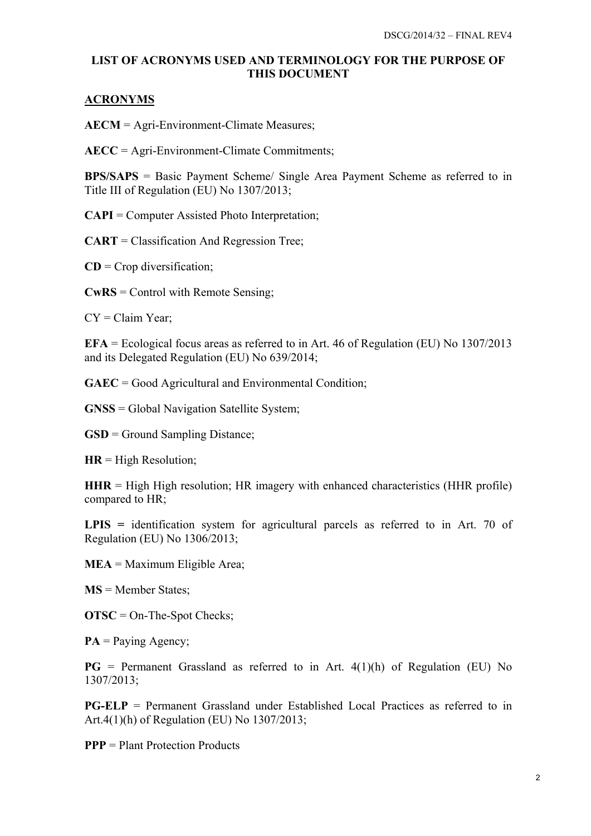# **LIST OF ACRONYMS USED AND TERMINOLOGY FOR THE PURPOSE OF THIS DOCUMENT**

# **ACRONYMS**

**AECM** = Agri-Environment-Climate Measures;

**AECC** = Agri-Environment-Climate Commitments;

**BPS/SAPS** = Basic Payment Scheme/ Single Area Payment Scheme as referred to in Title III of Regulation (EU) No 1307/2013;

**CAPI** = Computer Assisted Photo Interpretation;

**CART** = Classification And Regression Tree;

**CD** = Crop diversification;

**CwRS** = Control with Remote Sensing;

 $CY = Claim Year;$ 

**EFA** = Ecological focus areas as referred to in Art. 46 of Regulation (EU) No 1307/2013 and its Delegated Regulation (EU) No 639/2014;

**GAEC** = Good Agricultural and Environmental Condition;

**GNSS** = Global Navigation Satellite System;

**GSD** = Ground Sampling Distance;

**HR** = High Resolution;

 $HHR = High High resolution$ :  $HR$  imagery with enhanced characteristics ( $HHR$  profile) compared to HR;

LPIS = identification system for agricultural parcels as referred to in Art. 70 of Regulation (EU) No 1306/2013;

**MEA** = Maximum Eligible Area;

**MS** = Member States;

**OTSC** = On-The-Spot Checks;

 $PA = Paying Agency;$ 

 $PG$  = Permanent Grassland as referred to in Art.  $4(1)(h)$  of Regulation (EU) No 1307/2013;

**PG-ELP** = Permanent Grassland under Established Local Practices as referred to in Art.4(1)(h) of Regulation (EU) No 1307/2013;

**PPP** = Plant Protection Products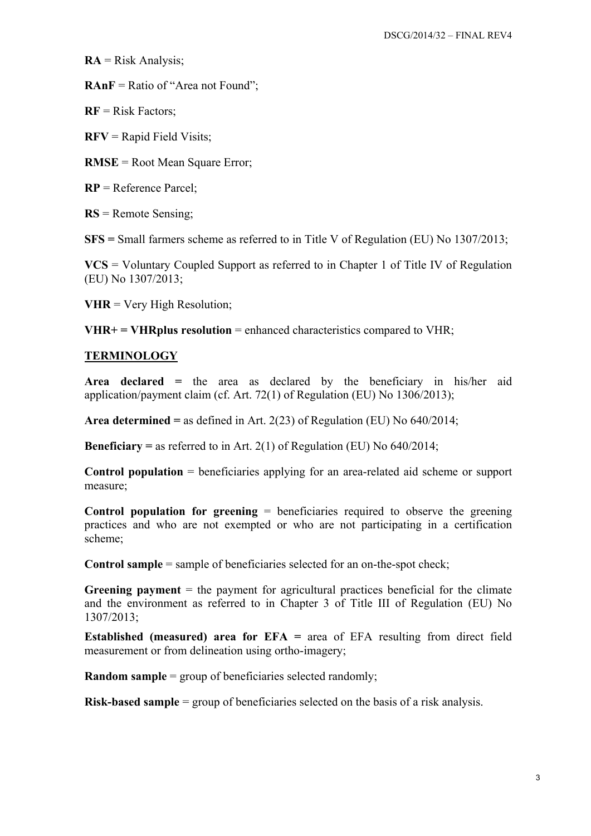$RA = Risk Analysis;$ 

**RAnF** = Ratio of "Area not Found";

**RF** = Risk Factors;

**RFV** = Rapid Field Visits;

**RMSE** = Root Mean Square Error;

**RP** = Reference Parcel;

**RS** = Remote Sensing;

**SFS =** Small farmers scheme as referred to in Title V of Regulation (EU) No 1307/2013;

**VCS** = Voluntary Coupled Support as referred to in Chapter 1 of Title IV of Regulation (EU) No 1307/2013;

**VHR** = Very High Resolution;

 $VHR+ = VHRplus resolution = enhanced characteristics compared to VHR;$ 

#### **TERMINOLOGY**

**Area declared =** the area as declared by the beneficiary in his/her aid application/payment claim (cf. Art. 72(1) of Regulation (EU) No 1306/2013);

**Area determined =** as defined in Art. 2(23) of Regulation (EU) No 640/2014;

**Beneficiary =** as referred to in Art. 2(1) of Regulation (EU) No 640/2014;

**Control population** = beneficiaries applying for an area-related aid scheme or support measure;

**Control population for greening** = beneficiaries required to observe the greening practices and who are not exempted or who are not participating in a certification scheme;

**Control sample** = sample of beneficiaries selected for an on-the-spot check;

**Greening payment** = the payment for agricultural practices beneficial for the climate and the environment as referred to in Chapter 3 of Title III of Regulation (EU) No 1307/2013;

**Established (measured) area for EFA =** area of EFA resulting from direct field measurement or from delineation using ortho-imagery;

**Random sample** = group of beneficiaries selected randomly;

**Risk-based sample** = group of beneficiaries selected on the basis of a risk analysis.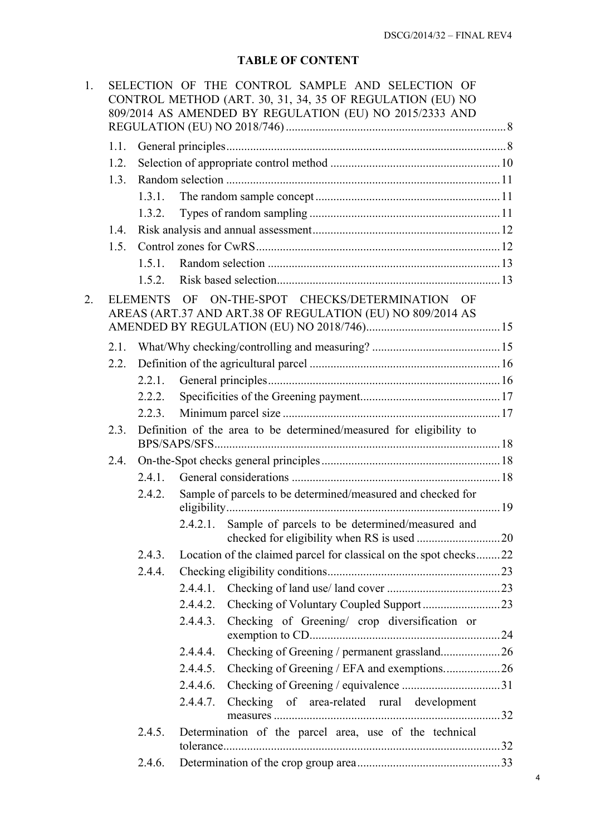# **TABLE OF CONTENT**

| 1. | SELECTION OF THE CONTROL SAMPLE AND SELECTION OF<br>CONTROL METHOD (ART. 30, 31, 34, 35 OF REGULATION (EU) NO<br>809/2014 AS AMENDED BY REGULATION (EU) NO 2015/2333 AND |                                                                     |             |                                                                                                   |  |
|----|--------------------------------------------------------------------------------------------------------------------------------------------------------------------------|---------------------------------------------------------------------|-------------|---------------------------------------------------------------------------------------------------|--|
|    | 1.1.                                                                                                                                                                     |                                                                     |             |                                                                                                   |  |
|    | 1.2.                                                                                                                                                                     |                                                                     |             |                                                                                                   |  |
|    | 1.3.                                                                                                                                                                     |                                                                     |             |                                                                                                   |  |
|    |                                                                                                                                                                          | 1.3.1.                                                              |             |                                                                                                   |  |
|    |                                                                                                                                                                          | 1.3.2.                                                              |             |                                                                                                   |  |
|    | 1.4.                                                                                                                                                                     |                                                                     |             |                                                                                                   |  |
|    | 1.5.                                                                                                                                                                     |                                                                     |             |                                                                                                   |  |
|    |                                                                                                                                                                          | 151                                                                 |             |                                                                                                   |  |
|    |                                                                                                                                                                          | 1.5.2.                                                              |             |                                                                                                   |  |
| 2. |                                                                                                                                                                          | <b>ELEMENTS</b>                                                     | OF          | ON-THE-SPOT CHECKS/DETERMINATION OF<br>AREAS (ART.37 AND ART.38 OF REGULATION (EU) NO 809/2014 AS |  |
|    | 2.1.                                                                                                                                                                     |                                                                     |             |                                                                                                   |  |
|    | 2.2.                                                                                                                                                                     |                                                                     |             |                                                                                                   |  |
|    |                                                                                                                                                                          | 2.2.1.                                                              |             |                                                                                                   |  |
|    |                                                                                                                                                                          | 2.2.2.                                                              |             |                                                                                                   |  |
|    |                                                                                                                                                                          | 2.2.3.                                                              |             |                                                                                                   |  |
|    | 2.3.                                                                                                                                                                     | Definition of the area to be determined/measured for eligibility to |             |                                                                                                   |  |
|    | 2.4.                                                                                                                                                                     |                                                                     |             |                                                                                                   |  |
|    |                                                                                                                                                                          | 2.4.1                                                               |             |                                                                                                   |  |
|    |                                                                                                                                                                          | 2.4.2.                                                              |             | Sample of parcels to be determined/measured and checked for                                       |  |
|    |                                                                                                                                                                          |                                                                     |             | 2.4.2.1. Sample of parcels to be determined/measured and                                          |  |
|    |                                                                                                                                                                          | 2.4.3.                                                              |             | Location of the claimed parcel for classical on the spot checks22                                 |  |
|    |                                                                                                                                                                          | 2.4.4.                                                              |             |                                                                                                   |  |
|    |                                                                                                                                                                          |                                                                     |             |                                                                                                   |  |
|    |                                                                                                                                                                          |                                                                     |             |                                                                                                   |  |
|    |                                                                                                                                                                          |                                                                     | 2.4.4.3.    | Checking of Greening/ crop diversification or                                                     |  |
|    |                                                                                                                                                                          |                                                                     | 2.4.4.4.    |                                                                                                   |  |
|    |                                                                                                                                                                          |                                                                     | $2.4.4.5$ . | Checking of Greening / EFA and exemptions26                                                       |  |
|    |                                                                                                                                                                          |                                                                     |             |                                                                                                   |  |
|    |                                                                                                                                                                          |                                                                     | 2.4.4.7.    | Checking of area-related rural development                                                        |  |
|    |                                                                                                                                                                          | 2.4.5.                                                              |             | Determination of the parcel area, use of the technical                                            |  |
|    |                                                                                                                                                                          | 2.4.6.                                                              |             |                                                                                                   |  |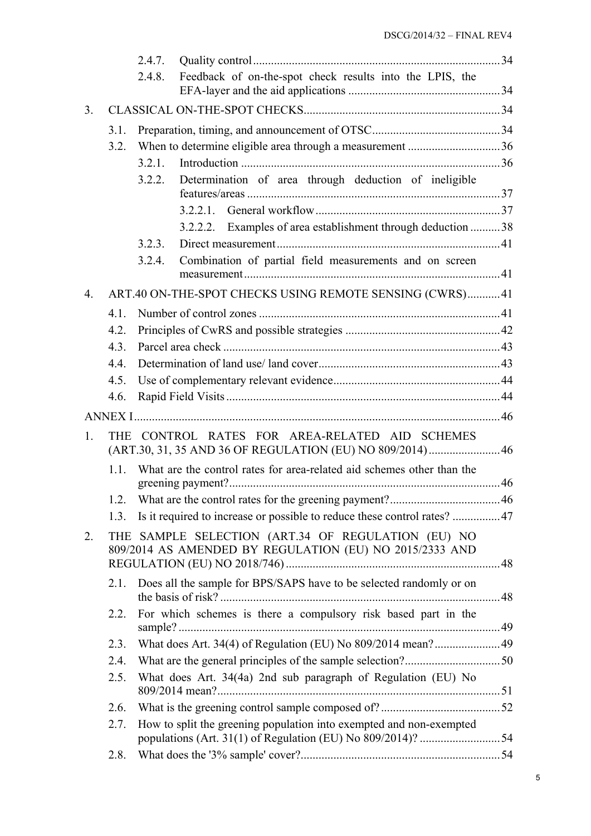|              |                                                                                                               | 2.4.7.                                                                 |                                                                     |  |  |  |  |
|--------------|---------------------------------------------------------------------------------------------------------------|------------------------------------------------------------------------|---------------------------------------------------------------------|--|--|--|--|
|              |                                                                                                               | 2.4.8.                                                                 | Feedback of on-the-spot check results into the LPIS, the            |  |  |  |  |
|              |                                                                                                               |                                                                        |                                                                     |  |  |  |  |
| 3.           |                                                                                                               |                                                                        |                                                                     |  |  |  |  |
|              | 3.1.                                                                                                          |                                                                        |                                                                     |  |  |  |  |
|              | 3.2.                                                                                                          |                                                                        |                                                                     |  |  |  |  |
|              |                                                                                                               | 3.2.1.                                                                 |                                                                     |  |  |  |  |
|              |                                                                                                               | 3.2.2.                                                                 | Determination of area through deduction of ineligible               |  |  |  |  |
|              |                                                                                                               |                                                                        |                                                                     |  |  |  |  |
|              |                                                                                                               |                                                                        | 3.2.2.2. Examples of area establishment through deduction  38       |  |  |  |  |
|              |                                                                                                               | 3.2.3.                                                                 |                                                                     |  |  |  |  |
|              |                                                                                                               | 3.2.4.                                                                 | Combination of partial field measurements and on screen             |  |  |  |  |
| 4.           |                                                                                                               |                                                                        | ART.40 ON-THE-SPOT CHECKS USING REMOTE SENSING (CWRS) 41            |  |  |  |  |
|              | 4.1.                                                                                                          |                                                                        |                                                                     |  |  |  |  |
|              | 4.2.                                                                                                          |                                                                        |                                                                     |  |  |  |  |
|              | 4.3.                                                                                                          |                                                                        |                                                                     |  |  |  |  |
|              | 4.4.                                                                                                          |                                                                        |                                                                     |  |  |  |  |
|              | 4.5.                                                                                                          |                                                                        |                                                                     |  |  |  |  |
|              | 4.6.                                                                                                          |                                                                        |                                                                     |  |  |  |  |
|              |                                                                                                               |                                                                        |                                                                     |  |  |  |  |
| $\mathbf{1}$ |                                                                                                               |                                                                        | THE CONTROL RATES FOR AREA-RELATED AID SCHEMES                      |  |  |  |  |
|              |                                                                                                               |                                                                        | (ART.30, 31, 35 AND 36 OF REGULATION (EU) NO 809/2014) 46           |  |  |  |  |
|              | 1.1.                                                                                                          | What are the control rates for area-related aid schemes other than the |                                                                     |  |  |  |  |
|              |                                                                                                               |                                                                        |                                                                     |  |  |  |  |
|              | 1.3.                                                                                                          |                                                                        |                                                                     |  |  |  |  |
| 2.           | THE SAMPLE SELECTION (ART.34 OF REGULATION (EU) NO<br>809/2014 AS AMENDED BY REGULATION (EU) NO 2015/2333 AND |                                                                        |                                                                     |  |  |  |  |
|              | 2.1.                                                                                                          |                                                                        | Does all the sample for BPS/SAPS have to be selected randomly or on |  |  |  |  |
|              | 2.2.                                                                                                          |                                                                        | For which schemes is there a compulsory risk based part in the      |  |  |  |  |
|              | 2.3.                                                                                                          |                                                                        | What does Art. 34(4) of Regulation (EU) No 809/2014 mean? 49        |  |  |  |  |
|              | 2.4.                                                                                                          |                                                                        |                                                                     |  |  |  |  |
|              | 2.5.                                                                                                          |                                                                        | What does Art. 34(4a) 2nd sub paragraph of Regulation (EU) No       |  |  |  |  |
|              | 2.6.                                                                                                          |                                                                        |                                                                     |  |  |  |  |
|              | 2.7.                                                                                                          |                                                                        | How to split the greening population into exempted and non-exempted |  |  |  |  |
|              | 2.8.                                                                                                          |                                                                        |                                                                     |  |  |  |  |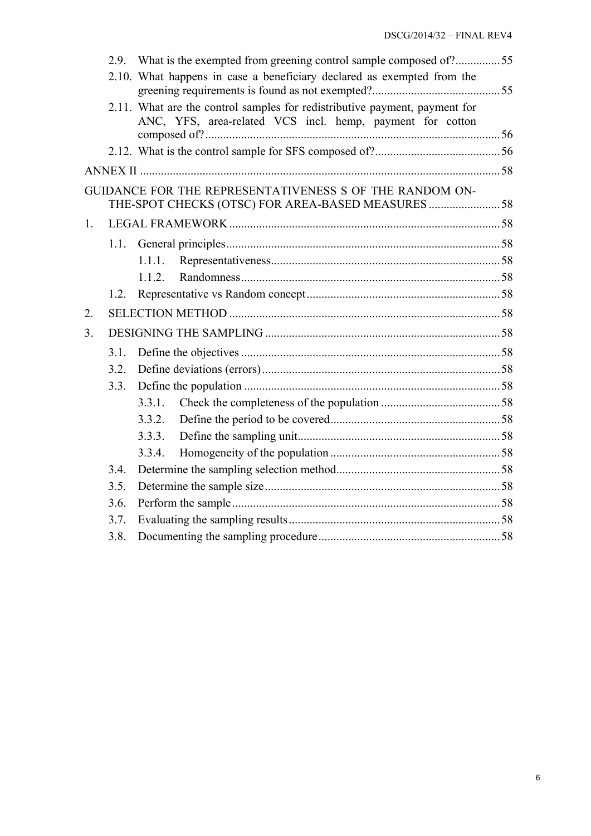|                |      | 2.9. What is the exempted from greening control sample composed of?55                                                                   |  |  |  |
|----------------|------|-----------------------------------------------------------------------------------------------------------------------------------------|--|--|--|
|                |      | 2.10. What happens in case a beneficiary declared as exempted from the                                                                  |  |  |  |
|                |      | 2.11. What are the control samples for redistributive payment, payment for<br>ANC, YFS, area-related VCS incl. hemp, payment for cotton |  |  |  |
|                |      |                                                                                                                                         |  |  |  |
|                |      |                                                                                                                                         |  |  |  |
|                |      | GUIDANCE FOR THE REPRESENTATIVENESS S OF THE RANDOM ON-<br>THE-SPOT CHECKS (OTSC) FOR AREA-BASED MEASURES 58                            |  |  |  |
| $\mathbf{1}$ . |      |                                                                                                                                         |  |  |  |
|                | 1.1. |                                                                                                                                         |  |  |  |
|                |      | 1.1.1.                                                                                                                                  |  |  |  |
|                |      | 1.1.2.                                                                                                                                  |  |  |  |
|                | 1.2. |                                                                                                                                         |  |  |  |
| 2.             |      |                                                                                                                                         |  |  |  |
| 3.             |      |                                                                                                                                         |  |  |  |
|                | 3.1. |                                                                                                                                         |  |  |  |
|                | 3.2. |                                                                                                                                         |  |  |  |
|                | 3.3. |                                                                                                                                         |  |  |  |
|                |      | 3.3.1.                                                                                                                                  |  |  |  |
|                |      | 3.3.2.                                                                                                                                  |  |  |  |
|                |      | 3.3.3.                                                                                                                                  |  |  |  |
|                |      | 3.3.4.                                                                                                                                  |  |  |  |
|                | 3.4. |                                                                                                                                         |  |  |  |
|                | 3.5. |                                                                                                                                         |  |  |  |
|                | 3.6. |                                                                                                                                         |  |  |  |
|                | 3.7. |                                                                                                                                         |  |  |  |
|                | 3.8. |                                                                                                                                         |  |  |  |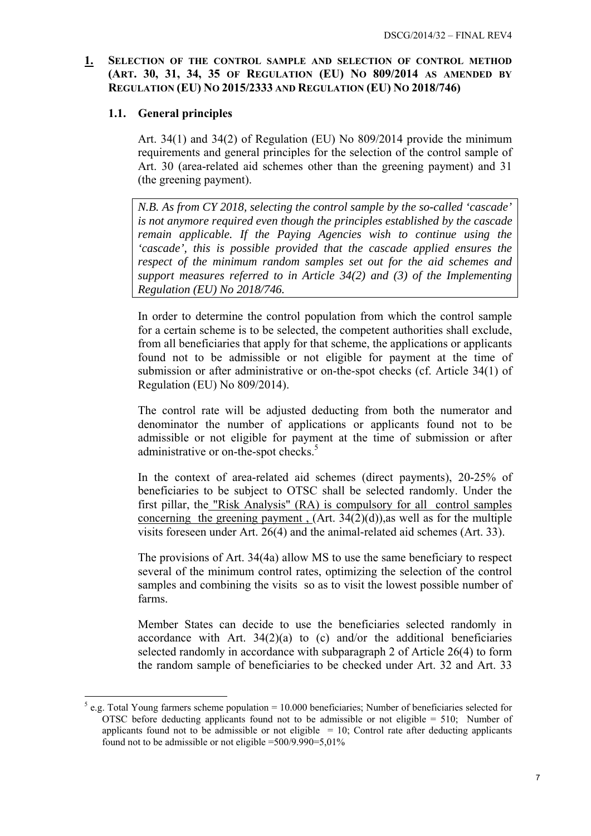## <span id="page-6-1"></span><span id="page-6-0"></span>**1. SELECTION OF THE CONTROL SAMPLE AND SELECTION OF CONTROL METHOD (ART. 30, 31, 34, 35 OF REGULATION (EU) NO 809/2014 AS AMENDED BY REGULATION (EU) NO 2015/2333 AND REGULATION (EU) NO 2018/746)**

### **1.1. General principles**

1

Art. 34(1) and 34(2) of Regulation (EU) No 809/2014 provide the minimum requirements and general principles for the selection of the control sample of Art. 30 (area-related aid schemes other than the greening payment) and 31 (the greening payment).

*N.B. As from CY 2018, selecting the control sample by the so-called 'cascade' is not anymore required even though the principles established by the cascade remain applicable. If the Paying Agencies wish to continue using the 'cascade', this is possible provided that the cascade applied ensures the respect of the minimum random samples set out for the aid schemes and support measures referred to in Article 34(2) and (3) of the Implementing Regulation (EU) No 2018/746.* 

In order to determine the control population from which the control sample for a certain scheme is to be selected, the competent authorities shall exclude, from all beneficiaries that apply for that scheme, the applications or applicants found not to be admissible or not eligible for payment at the time of submission or after administrative or on-the-spot checks (cf. Article 34(1) of Regulation (EU) No 809/2014).

The control rate will be adjusted deducting from both the numerator and denominator the number of applications or applicants found not to be admissible or not eligible for payment at the time of submission or after administrative or on-the-spot checks.<sup>5</sup>

In the context of area-related aid schemes (direct payments), 20-25% of beneficiaries to be subject to OTSC shall be selected randomly. Under the first pillar, the "Risk Analysis" (RA) is compulsory for all control samples concerning the greening payment,  $(Art. 34(2)(d))$ , as well as for the multiple visits foreseen under Art. 26(4) and the animal-related aid schemes (Art. 33).

The provisions of Art. 34(4a) allow MS to use the same beneficiary to respect several of the minimum control rates, optimizing the selection of the control samples and combining the visits so as to visit the lowest possible number of farms.

Member States can decide to use the beneficiaries selected randomly in accordance with Art.  $34(2)(a)$  to (c) and/or the additional beneficiaries selected randomly in accordance with subparagraph 2 of Article 26(4) to form the random sample of beneficiaries to be checked under Art. 32 and Art. 33

 $<sup>5</sup>$  e.g. Total Young farmers scheme population = 10.000 beneficiaries; Number of beneficiaries selected for</sup> OTSC before deducting applicants found not to be admissible or not eligible  $= 510$ ; Number of applicants found not to be admissible or not eligible  $= 10$ ; Control rate after deducting applicants found not to be admissible or not eligible =500/9.990=5,01%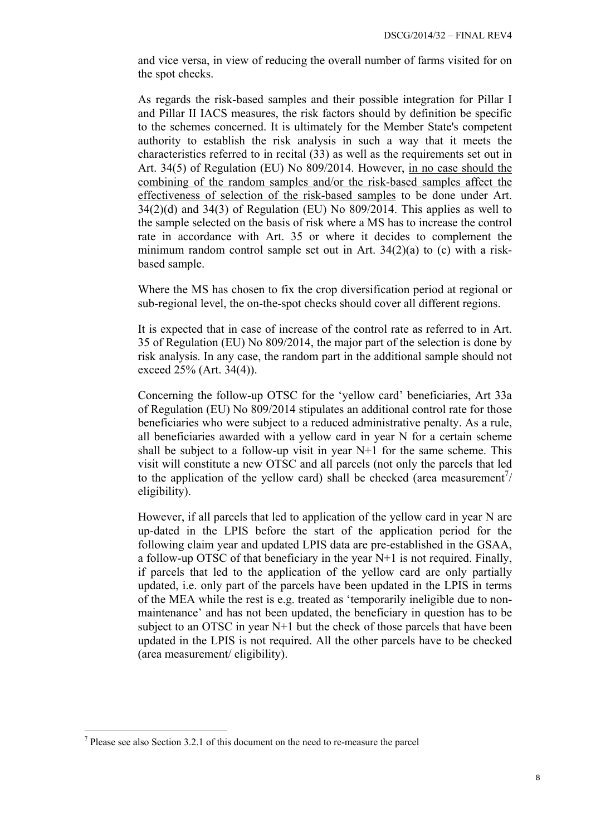and vice versa, in view of reducing the overall number of farms visited for on the spot checks.

As regards the risk-based samples and their possible integration for Pillar I and Pillar II IACS measures, the risk factors should by definition be specific to the schemes concerned. It is ultimately for the Member State's competent authority to establish the risk analysis in such a way that it meets the characteristics referred to in recital (33) as well as the requirements set out in Art. 34(5) of Regulation (EU) No 809/2014. However, in no case should the combining of the random samples and/or the risk-based samples affect the effectiveness of selection of the risk-based samples to be done under Art.  $34(2)(d)$  and  $34(3)$  of Regulation (EU) No  $809/2014$ . This applies as well to the sample selected on the basis of risk where a MS has to increase the control rate in accordance with Art. 35 or where it decides to complement the minimum random control sample set out in Art. 34(2)(a) to (c) with a riskbased sample.

Where the MS has chosen to fix the crop diversification period at regional or sub-regional level, the on-the-spot checks should cover all different regions.

It is expected that in case of increase of the control rate as referred to in Art. 35 of Regulation (EU) No 809/2014, the major part of the selection is done by risk analysis. In any case, the random part in the additional sample should not exceed 25% (Art. 34(4)).

Concerning the follow-up OTSC for the 'yellow card' beneficiaries, Art 33a of Regulation (EU) No 809/2014 stipulates an additional control rate for those beneficiaries who were subject to a reduced administrative penalty. As a rule, all beneficiaries awarded with a yellow card in year N for a certain scheme shall be subject to a follow-up visit in year N+1 for the same scheme. This visit will constitute a new OTSC and all parcels (not only the parcels that led to the application of the yellow card) shall be checked (area measurement $\frac{7}{4}$ ) eligibility).

However, if all parcels that led to application of the yellow card in year N are up-dated in the LPIS before the start of the application period for the following claim year and updated LPIS data are pre-established in the GSAA, a follow-up OTSC of that beneficiary in the year  $N+1$  is not required. Finally, if parcels that led to the application of the yellow card are only partially updated, i.e. only part of the parcels have been updated in the LPIS in terms of the MEA while the rest is e.g. treated as 'temporarily ineligible due to nonmaintenance' and has not been updated, the beneficiary in question has to be subject to an OTSC in year N+1 but the check of those parcels that have been updated in the LPIS is not required. All the other parcels have to be checked (area measurement/ eligibility).

1

 $<sup>7</sup>$  Please see also Section 3.2.1 of this document on the need to re-measure the parcel</sup>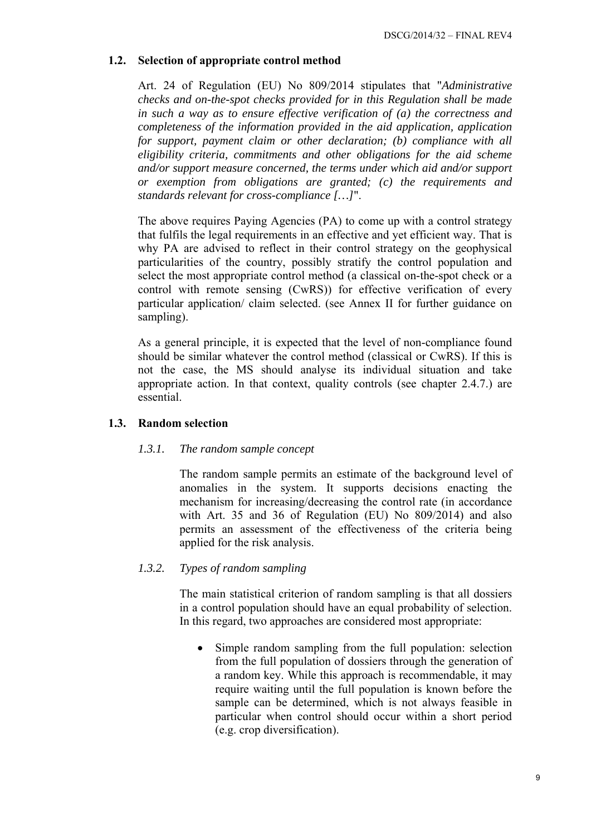# <span id="page-8-0"></span>**1.2. Selection of appropriate control method**

Art. 24 of Regulation (EU) No 809/2014 stipulates that "*Administrative checks and on-the-spot checks provided for in this Regulation shall be made in such a way as to ensure effective verification of (a) the correctness and completeness of the information provided in the aid application, application for support, payment claim or other declaration; (b) compliance with all eligibility criteria, commitments and other obligations for the aid scheme and/or support measure concerned, the terms under which aid and/or support or exemption from obligations are granted; (c) the requirements and standards relevant for cross-compliance […]*".

The above requires Paying Agencies (PA) to come up with a control strategy that fulfils the legal requirements in an effective and yet efficient way. That is why PA are advised to reflect in their control strategy on the geophysical particularities of the country, possibly stratify the control population and select the most appropriate control method (a classical on-the-spot check or a control with remote sensing (CwRS)) for effective verification of every particular application/ claim selected. (see Annex II for further guidance on sampling).

As a general principle, it is expected that the level of non-compliance found should be similar whatever the control method (classical or CwRS). If this is not the case, the MS should analyse its individual situation and take appropriate action. In that context, quality controls (see chapter 2.4.7.) are essential.

### <span id="page-8-2"></span><span id="page-8-1"></span>**1.3. Random selection**

### *1.3.1. The random sample concept*

The random sample permits an estimate of the background level of anomalies in the system. It supports decisions enacting the mechanism for increasing/decreasing the control rate (in accordance with Art. 35 and 36 of Regulation (EU) No 809/2014) and also permits an assessment of the effectiveness of the criteria being applied for the risk analysis.

### <span id="page-8-3"></span>*1.3.2. Types of random sampling*

The main statistical criterion of random sampling is that all dossiers in a control population should have an equal probability of selection. In this regard, two approaches are considered most appropriate:

• Simple random sampling from the full population: selection from the full population of dossiers through the generation of a random key. While this approach is recommendable, it may require waiting until the full population is known before the sample can be determined, which is not always feasible in particular when control should occur within a short period (e.g. crop diversification).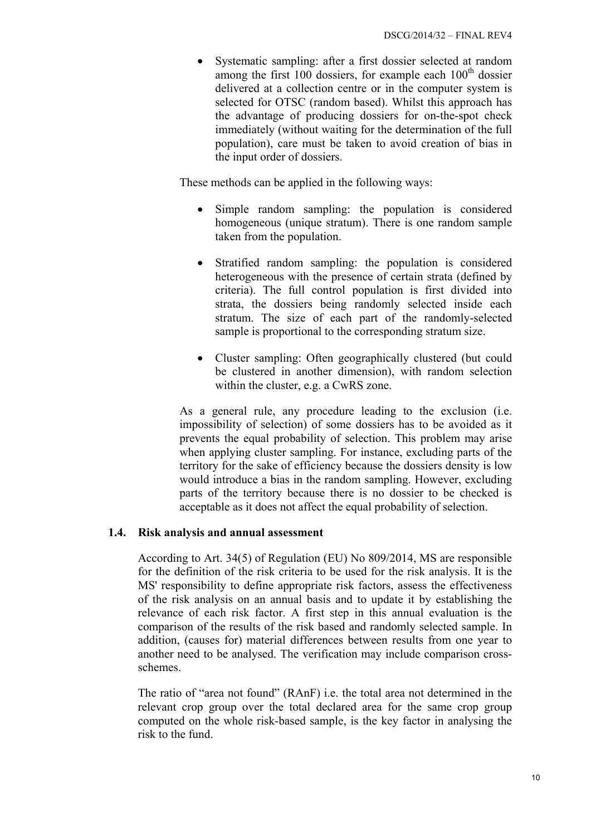• Systematic sampling: after a first dossier selected at random among the first  $100$  dossiers, for example each  $100<sup>th</sup>$  dossier delivered at a collection centre or in the computer system is selected for OTSC (random based). Whilst this approach has the advantage of producing dossiers for on-the-spot check immediately (without waiting for the determination of the full population), care must be taken to avoid creation of bias in the input order of dossiers.

These methods can be applied in the following ways:

- Simple random sampling: the population is considered homogeneous (unique stratum). There is one random sample taken from the population.
- Stratified random sampling: the population is considered heterogeneous with the presence of certain strata (defined by criteria). The full control population is first divided into strata, the dossiers being randomly selected inside each stratum. The size of each part of the randomly-selected sample is proportional to the corresponding stratum size.
- Cluster sampling: Often geographically clustered (but could be clustered in another dimension), with random selection within the cluster, e.g. a CwRS zone.

As a general rule, any procedure leading to the exclusion (i.e. impossibility of selection) of some dossiers has to be avoided as it prevents the equal probability of selection. This problem may arise when applying cluster sampling. For instance, excluding parts of the territory for the sake of efficiency because the dossiers density is low would introduce a bias in the random sampling. However, excluding parts of the territory because there is no dossier to be checked is acceptable as it does not affect the equal probability of selection.

#### <span id="page-9-0"></span>**1.4. Risk analysis and annual assessment**

According to Art. 34(5) of Regulation (EU) No 809/2014, MS are responsible for the definition of the risk criteria to be used for the risk analysis. It is the MS' responsibility to define appropriate risk factors, assess the effectiveness of the risk analysis on an annual basis and to update it by establishing the relevance of each risk factor. A first step in this annual evaluation is the comparison of the results of the risk based and randomly selected sample. In addition, (causes for) material differences between results from one year to another need to be analysed. The verification may include comparison crossschemes.

The ratio of "area not found" (RAnF) i.e. the total area not determined in the relevant crop group over the total declared area for the same crop group computed on the whole risk-based sample, is the key factor in analysing the risk to the fund.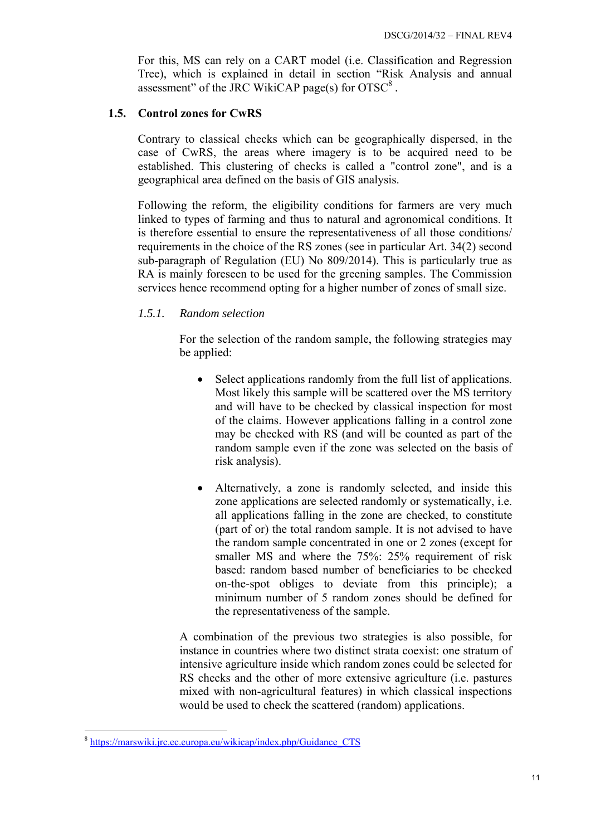For this, MS can rely on a CART model (i.e. Classification and Regression Tree), which is explained in detail in section "Risk Analysis and annual assessment" of the JRC WikiCAP page(s) for  $OTSC^8$ .

#### <span id="page-10-0"></span>**1.5. Control zones for CwRS**

Contrary to classical checks which can be geographically dispersed, in the case of CwRS, the areas where imagery is to be acquired need to be established. This clustering of checks is called a "control zone", and is a geographical area defined on the basis of GIS analysis.

Following the reform, the eligibility conditions for farmers are very much linked to types of farming and thus to natural and agronomical conditions. It is therefore essential to ensure the representativeness of all those conditions/ requirements in the choice of the RS zones (see in particular Art. 34(2) second sub-paragraph of Regulation (EU) No 809/2014). This is particularly true as RA is mainly foreseen to be used for the greening samples. The Commission services hence recommend opting for a higher number of zones of small size.

### <span id="page-10-1"></span>*1.5.1. Random selection*

For the selection of the random sample, the following strategies may be applied:

- Select applications randomly from the full list of applications. Most likely this sample will be scattered over the MS territory and will have to be checked by classical inspection for most of the claims. However applications falling in a control zone may be checked with RS (and will be counted as part of the random sample even if the zone was selected on the basis of risk analysis).
- Alternatively, a zone is randomly selected, and inside this zone applications are selected randomly or systematically, i.e. all applications falling in the zone are checked, to constitute (part of or) the total random sample. It is not advised to have the random sample concentrated in one or 2 zones (except for smaller MS and where the 75%: 25% requirement of risk based: random based number of beneficiaries to be checked on-the-spot obliges to deviate from this principle); a minimum number of 5 random zones should be defined for the representativeness of the sample.

A combination of the previous two strategies is also possible, for instance in countries where two distinct strata coexist: one stratum of intensive agriculture inside which random zones could be selected for RS checks and the other of more extensive agriculture (i.e. pastures mixed with non-agricultural features) in which classical inspections would be used to check the scattered (random) applications.

1

<sup>&</sup>lt;sup>8</sup> [https://marswiki.jrc.ec.europa.eu/wikicap/index.php/Guidance\\_CTS](https://marswiki.jrc.ec.europa.eu/wikicap/index.php/Guidance_CTS)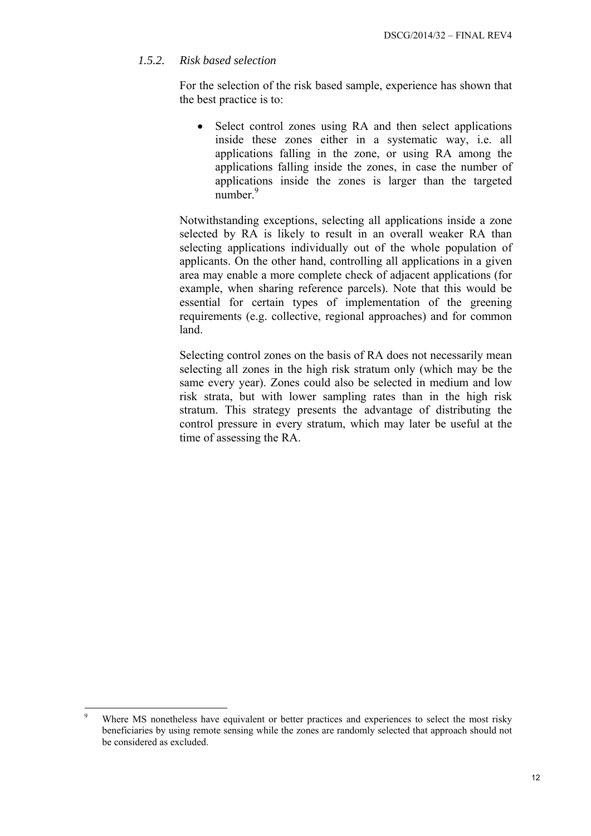# <span id="page-11-0"></span>*1.5.2. Risk based selection*

For the selection of the risk based sample, experience has shown that the best practice is to:

• Select control zones using RA and then select applications inside these zones either in a systematic way, i.e. all applications falling in the zone, or using RA among the applications falling inside the zones, in case the number of applications inside the zones is larger than the targeted number.<sup>9</sup>

Notwithstanding exceptions, selecting all applications inside a zone selected by RA is likely to result in an overall weaker RA than selecting applications individually out of the whole population of applicants. On the other hand, controlling all applications in a given area may enable a more complete check of adjacent applications (for example, when sharing reference parcels). Note that this would be essential for certain types of implementation of the greening requirements (e.g. collective, regional approaches) and for common land.

Selecting control zones on the basis of RA does not necessarily mean selecting all zones in the high risk stratum only (which may be the same every year). Zones could also be selected in medium and low risk strata, but with lower sampling rates than in the high risk stratum. This strategy presents the advantage of distributing the control pressure in every stratum, which may later be useful at the time of assessing the RA.

<sup>-&</sup>lt;br>9 Where MS nonetheless have equivalent or better practices and experiences to select the most risky beneficiaries by using remote sensing while the zones are randomly selected that approach should not be considered as excluded.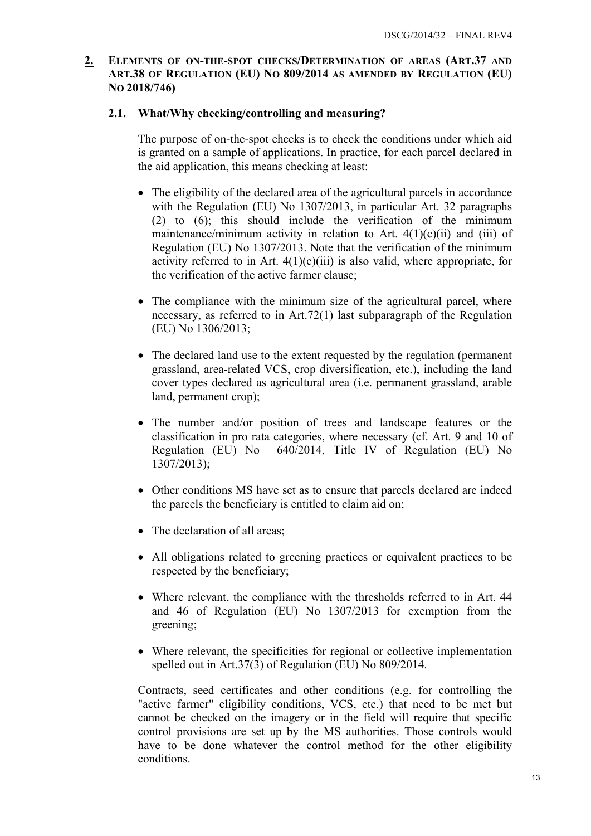## <span id="page-12-1"></span><span id="page-12-0"></span>**2. ELEMENTS OF ON-THE-SPOT CHECKS/DETERMINATION OF AREAS (ART.37 AND ART.38 OF REGULATION (EU) NO 809/2014 AS AMENDED BY REGULATION (EU) NO 2018/746)**

### **2.1. What/Why checking/controlling and measuring?**

The purpose of on-the-spot checks is to check the conditions under which aid is granted on a sample of applications. In practice, for each parcel declared in the aid application, this means checking at least:

- The eligibility of the declared area of the agricultural parcels in accordance with the Regulation (EU) No 1307/2013, in particular Art. 32 paragraphs (2) to (6); this should include the verification of the minimum maintenance/minimum activity in relation to Art. 4(1)(c)(ii) and (iii) of Regulation (EU) No 1307/2013. Note that the verification of the minimum activity referred to in Art.  $4(1)(c)(iii)$  is also valid, where appropriate, for the verification of the active farmer clause;
- The compliance with the minimum size of the agricultural parcel, where necessary, as referred to in Art.72(1) last subparagraph of the Regulation (EU) No 1306/2013;
- The declared land use to the extent requested by the regulation (permanent) grassland, area-related VCS, crop diversification, etc.), including the land cover types declared as agricultural area (i.e. permanent grassland, arable land, permanent crop);
- The number and/or position of trees and landscape features or the classification in pro rata categories, where necessary (cf. Art. 9 and 10 of Regulation (EU) No 640/2014, Title IV of Regulation (EU) No 1307/2013);
- Other conditions MS have set as to ensure that parcels declared are indeed the parcels the beneficiary is entitled to claim aid on;
- The declaration of all areas;
- All obligations related to greening practices or equivalent practices to be respected by the beneficiary;
- Where relevant, the compliance with the thresholds referred to in Art. 44 and 46 of Regulation (EU) No 1307/2013 for exemption from the greening;
- Where relevant, the specificities for regional or collective implementation spelled out in Art.37(3) of Regulation (EU) No 809/2014.

Contracts, seed certificates and other conditions (e.g. for controlling the "active farmer" eligibility conditions, VCS, etc.) that need to be met but cannot be checked on the imagery or in the field will require that specific control provisions are set up by the MS authorities. Those controls would have to be done whatever the control method for the other eligibility conditions.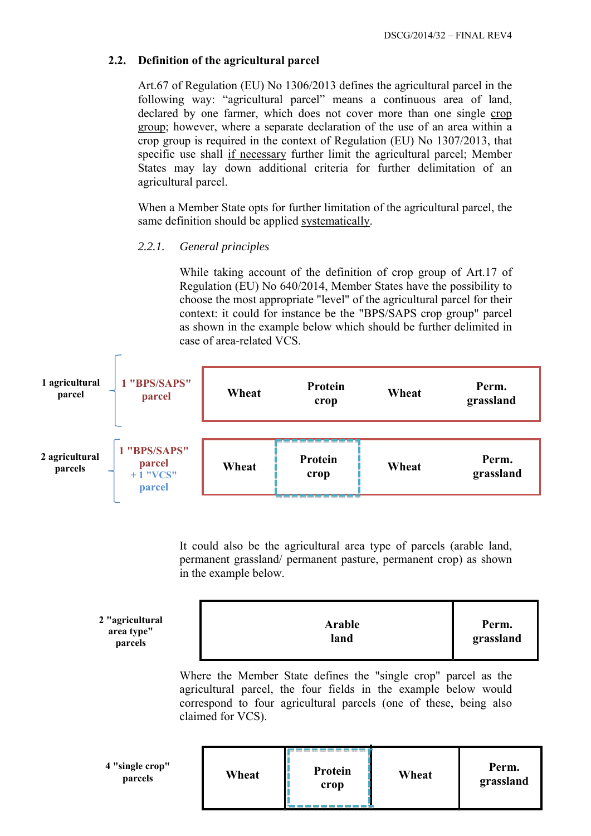# <span id="page-13-0"></span>**2.2. Definition of the agricultural parcel**

Art.67 of Regulation (EU) No 1306/2013 defines the agricultural parcel in the following way: "agricultural parcel" means a continuous area of land, declared by one farmer, which does not cover more than one single crop group; however, where a separate declaration of the use of an area within a crop group is required in the context of Regulation (EU) No 1307/2013, that specific use shall if necessary further limit the agricultural parcel; Member States may lay down additional criteria for further delimitation of an agricultural parcel.

When a Member State opts for further limitation of the agricultural parcel, the same definition should be applied systematically.

# <span id="page-13-1"></span>*2.2.1. General principles*

While taking account of the definition of crop group of Art.17 of Regulation (EU) No 640/2014, Member States have the possibility to choose the most appropriate "level" of the agricultural parcel for their context: it could for instance be the "BPS/SAPS crop group" parcel as shown in the example below which should be further delimited in case of area-related VCS.



It could also be the agricultural area type of parcels (arable land, permanent grassland/ permanent pasture, permanent crop) as shown in the example below.

| 2 "agricultural<br>area type"<br>parcels | Arable<br>land | Perm.<br>grassland |
|------------------------------------------|----------------|--------------------|
|------------------------------------------|----------------|--------------------|

Where the Member State defines the "single crop" parcel as the agricultural parcel, the four fields in the example below would correspond to four agricultural parcels (one of these, being also claimed for VCS).

| 4 "single crop"<br>parcels | Wheat | Protein<br>crop | Wheat | Perm.<br>grassland |
|----------------------------|-------|-----------------|-------|--------------------|
|                            |       |                 |       |                    |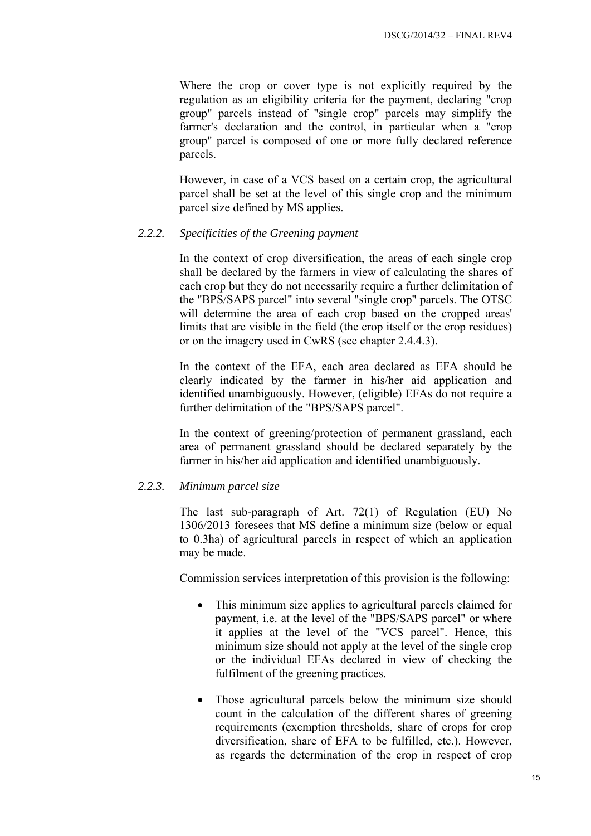Where the crop or cover type is not explicitly required by the regulation as an eligibility criteria for the payment, declaring "crop group" parcels instead of "single crop" parcels may simplify the farmer's declaration and the control, in particular when a "crop group" parcel is composed of one or more fully declared reference parcels.

However, in case of a VCS based on a certain crop, the agricultural parcel shall be set at the level of this single crop and the minimum parcel size defined by MS applies.

#### <span id="page-14-0"></span>*2.2.2. Specificities of the Greening payment*

In the context of crop diversification, the areas of each single crop shall be declared by the farmers in view of calculating the shares of each crop but they do not necessarily require a further delimitation of the "BPS/SAPS parcel" into several "single crop" parcels. The OTSC will determine the area of each crop based on the cropped areas' limits that are visible in the field (the crop itself or the crop residues) or on the imagery used in CwRS (see chapter 2.4.4.3).

In the context of the EFA, each area declared as EFA should be clearly indicated by the farmer in his/her aid application and identified unambiguously. However, (eligible) EFAs do not require a further delimitation of the "BPS/SAPS parcel".

In the context of greening/protection of permanent grassland, each area of permanent grassland should be declared separately by the farmer in his/her aid application and identified unambiguously.

#### <span id="page-14-1"></span>*2.2.3. Minimum parcel size*

The last sub-paragraph of Art. 72(1) of Regulation (EU) No 1306/2013 foresees that MS define a minimum size (below or equal to 0.3ha) of agricultural parcels in respect of which an application may be made.

Commission services interpretation of this provision is the following:

- This minimum size applies to agricultural parcels claimed for payment, i.e. at the level of the "BPS/SAPS parcel" or where it applies at the level of the "VCS parcel". Hence, this minimum size should not apply at the level of the single crop or the individual EFAs declared in view of checking the fulfilment of the greening practices.
- Those agricultural parcels below the minimum size should count in the calculation of the different shares of greening requirements (exemption thresholds, share of crops for crop diversification, share of EFA to be fulfilled, etc.). However, as regards the determination of the crop in respect of crop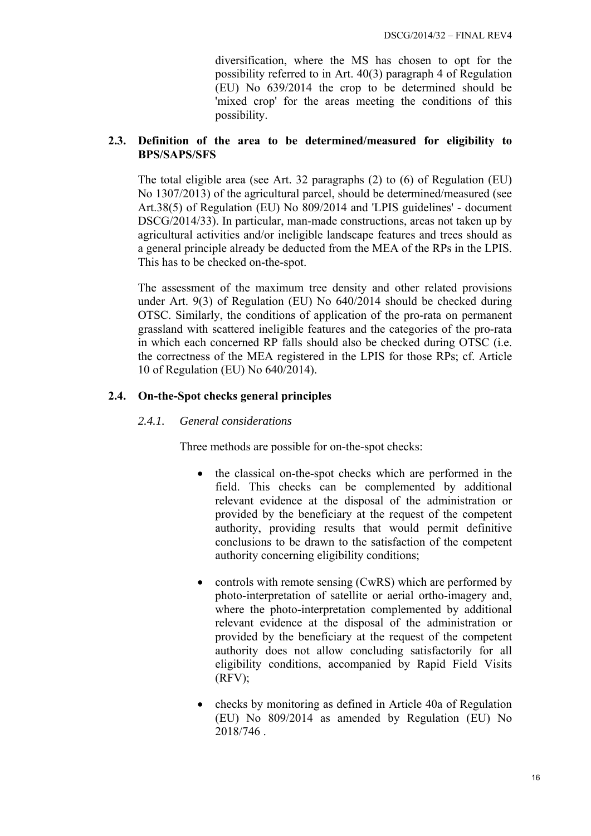diversification, where the MS has chosen to opt for the possibility referred to in Art. 40(3) paragraph 4 of Regulation (EU) No 639/2014 the crop to be determined should be 'mixed crop' for the areas meeting the conditions of this possibility.

# <span id="page-15-0"></span>**2.3. Definition of the area to be determined/measured for eligibility to BPS/SAPS/SFS**

The total eligible area (see Art. 32 paragraphs (2) to (6) of Regulation (EU) No 1307/2013) of the agricultural parcel, should be determined/measured (see Art.38(5) of Regulation (EU) No 809/2014 and 'LPIS guidelines' - document DSCG/2014/33). In particular, man-made constructions, areas not taken up by agricultural activities and/or ineligible landscape features and trees should as a general principle already be deducted from the MEA of the RPs in the LPIS. This has to be checked on-the-spot.

The assessment of the maximum tree density and other related provisions under Art. 9(3) of Regulation (EU) No 640/2014 should be checked during OTSC. Similarly, the conditions of application of the pro-rata on permanent grassland with scattered ineligible features and the categories of the pro-rata in which each concerned RP falls should also be checked during OTSC (i.e. the correctness of the MEA registered in the LPIS for those RPs; cf. Article 10 of Regulation (EU) No 640/2014).

# <span id="page-15-2"></span><span id="page-15-1"></span>**2.4. On-the-Spot checks general principles**

# *2.4.1. General considerations*

Three methods are possible for on-the-spot checks:

- the classical on-the-spot checks which are performed in the field. This checks can be complemented by additional relevant evidence at the disposal of the administration or provided by the beneficiary at the request of the competent authority, providing results that would permit definitive conclusions to be drawn to the satisfaction of the competent authority concerning eligibility conditions;
- controls with remote sensing (CwRS) which are performed by photo-interpretation of satellite or aerial ortho-imagery and, where the photo-interpretation complemented by additional relevant evidence at the disposal of the administration or provided by the beneficiary at the request of the competent authority does not allow concluding satisfactorily for all eligibility conditions, accompanied by Rapid Field Visits  $(RFV)$ ;
- checks by monitoring as defined in Article 40a of Regulation (EU) No 809/2014 as amended by Regulation (EU) No 2018/746 .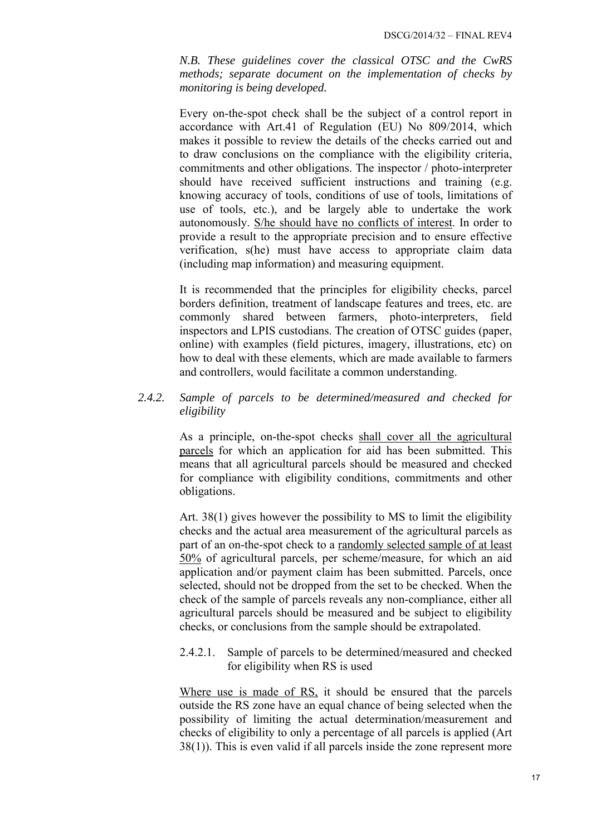*N.B. These guidelines cover the classical OTSC and the CwRS methods; separate document on the implementation of checks by monitoring is being developed.* 

Every on-the-spot check shall be the subject of a control report in accordance with Art.41 of Regulation (EU) No 809/2014, which makes it possible to review the details of the checks carried out and to draw conclusions on the compliance with the eligibility criteria, commitments and other obligations. The inspector / photo-interpreter should have received sufficient instructions and training (e.g. knowing accuracy of tools, conditions of use of tools, limitations of use of tools, etc.), and be largely able to undertake the work autonomously. S/he should have no conflicts of interest. In order to provide a result to the appropriate precision and to ensure effective verification, s(he) must have access to appropriate claim data (including map information) and measuring equipment.

It is recommended that the principles for eligibility checks, parcel borders definition, treatment of landscape features and trees, etc. are commonly shared between farmers, photo-interpreters, field inspectors and LPIS custodians. The creation of OTSC guides (paper, online) with examples (field pictures, imagery, illustrations, etc) on how to deal with these elements, which are made available to farmers and controllers, would facilitate a common understanding.

# <span id="page-16-0"></span>*2.4.2. Sample of parcels to be determined/measured and checked for eligibility*

As a principle, on-the-spot checks shall cover all the agricultural parcels for which an application for aid has been submitted. This means that all agricultural parcels should be measured and checked for compliance with eligibility conditions, commitments and other obligations.

Art. 38(1) gives however the possibility to MS to limit the eligibility checks and the actual area measurement of the agricultural parcels as part of an on-the-spot check to a randomly selected sample of at least 50% of agricultural parcels, per scheme/measure, for which an aid application and/or payment claim has been submitted. Parcels, once selected, should not be dropped from the set to be checked. When the check of the sample of parcels reveals any non-compliance, either all agricultural parcels should be measured and be subject to eligibility checks, or conclusions from the sample should be extrapolated.

<span id="page-16-1"></span>2.4.2.1. Sample of parcels to be determined/measured and checked for eligibility when RS is used

Where use is made of RS, it should be ensured that the parcels outside the RS zone have an equal chance of being selected when the possibility of limiting the actual determination/measurement and checks of eligibility to only a percentage of all parcels is applied (Art 38(1)). This is even valid if all parcels inside the zone represent more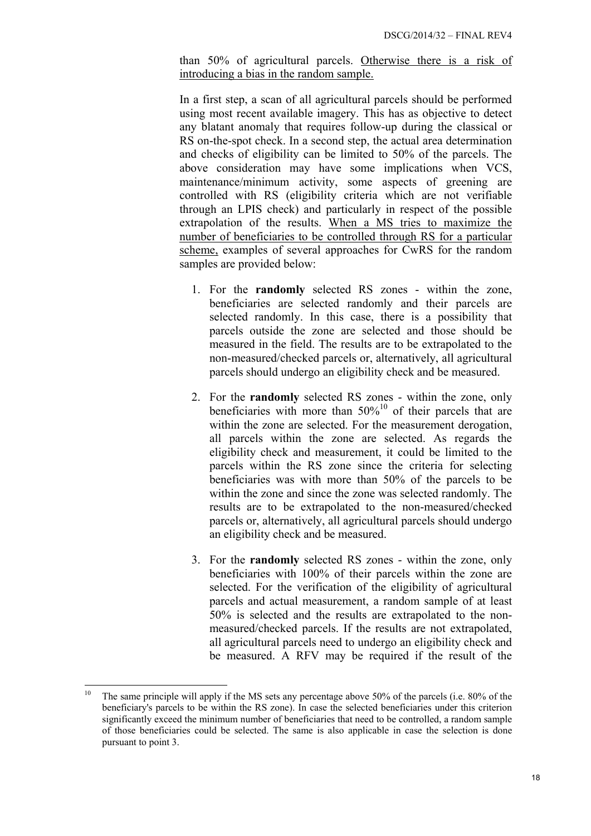than 50% of agricultural parcels. Otherwise there is a risk of introducing a bias in the random sample.

In a first step, a scan of all agricultural parcels should be performed using most recent available imagery. This has as objective to detect any blatant anomaly that requires follow-up during the classical or RS on-the-spot check. In a second step, the actual area determination and checks of eligibility can be limited to 50% of the parcels. The above consideration may have some implications when VCS, maintenance/minimum activity, some aspects of greening are controlled with RS (eligibility criteria which are not verifiable through an LPIS check) and particularly in respect of the possible extrapolation of the results. When a MS tries to maximize the number of beneficiaries to be controlled through RS for a particular scheme, examples of several approaches for CwRS for the random samples are provided below:

- 1. For the **randomly** selected RS zones within the zone, beneficiaries are selected randomly and their parcels are selected randomly. In this case, there is a possibility that parcels outside the zone are selected and those should be measured in the field. The results are to be extrapolated to the non-measured/checked parcels or, alternatively, all agricultural parcels should undergo an eligibility check and be measured.
- 2. For the **randomly** selected RS zones within the zone, only beneficiaries with more than  $50\%^{10}$  of their parcels that are within the zone are selected. For the measurement derogation, all parcels within the zone are selected. As regards the eligibility check and measurement, it could be limited to the parcels within the RS zone since the criteria for selecting beneficiaries was with more than 50% of the parcels to be within the zone and since the zone was selected randomly. The results are to be extrapolated to the non-measured/checked parcels or, alternatively, all agricultural parcels should undergo an eligibility check and be measured.
- 3. For the **randomly** selected RS zones within the zone, only beneficiaries with 100% of their parcels within the zone are selected. For the verification of the eligibility of agricultural parcels and actual measurement, a random sample of at least 50% is selected and the results are extrapolated to the nonmeasured/checked parcels. If the results are not extrapolated, all agricultural parcels need to undergo an eligibility check and be measured. A RFV may be required if the result of the

<sup>10</sup> 10 The same principle will apply if the MS sets any percentage above 50% of the parcels (i.e. 80% of the beneficiary's parcels to be within the RS zone). In case the selected beneficiaries under this criterion significantly exceed the minimum number of beneficiaries that need to be controlled, a random sample of those beneficiaries could be selected. The same is also applicable in case the selection is done pursuant to point 3.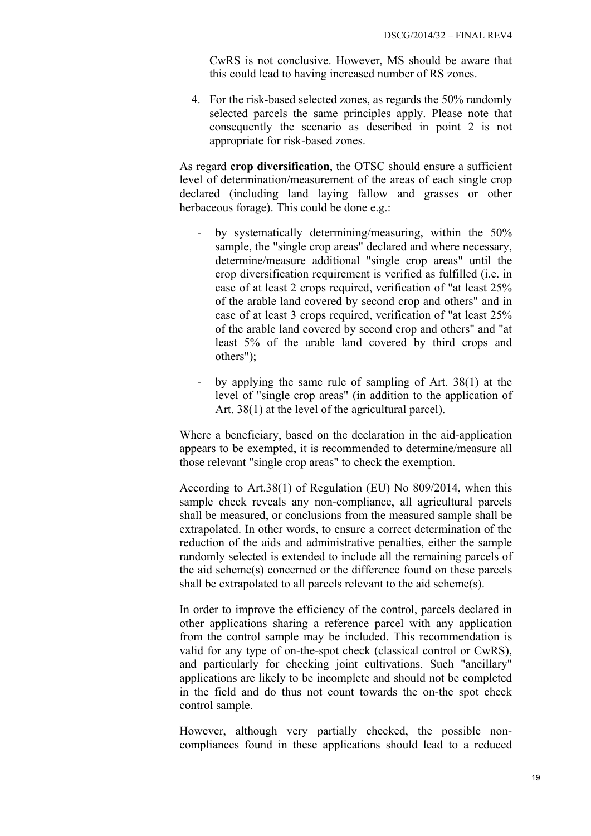CwRS is not conclusive. However, MS should be aware that this could lead to having increased number of RS zones.

4. For the risk-based selected zones, as regards the 50% randomly selected parcels the same principles apply. Please note that consequently the scenario as described in point 2 is not appropriate for risk-based zones.

As regard **crop diversification**, the OTSC should ensure a sufficient level of determination/measurement of the areas of each single crop declared (including land laying fallow and grasses or other herbaceous forage). This could be done e.g.:

- by systematically determining/measuring, within the 50% sample, the "single crop areas" declared and where necessary, determine/measure additional "single crop areas" until the crop diversification requirement is verified as fulfilled (i.e. in case of at least 2 crops required, verification of "at least 25% of the arable land covered by second crop and others" and in case of at least 3 crops required, verification of "at least 25% of the arable land covered by second crop and others" and "at least 5% of the arable land covered by third crops and others");
- by applying the same rule of sampling of Art. 38(1) at the level of "single crop areas" (in addition to the application of Art. 38(1) at the level of the agricultural parcel).

Where a beneficiary, based on the declaration in the aid-application appears to be exempted, it is recommended to determine/measure all those relevant "single crop areas" to check the exemption.

According to Art.38(1) of Regulation (EU) No 809/2014, when this sample check reveals any non-compliance, all agricultural parcels shall be measured, or conclusions from the measured sample shall be extrapolated. In other words, to ensure a correct determination of the reduction of the aids and administrative penalties, either the sample randomly selected is extended to include all the remaining parcels of the aid scheme(s) concerned or the difference found on these parcels shall be extrapolated to all parcels relevant to the aid scheme(s).

In order to improve the efficiency of the control, parcels declared in other applications sharing a reference parcel with any application from the control sample may be included. This recommendation is valid for any type of on-the-spot check (classical control or CwRS), and particularly for checking joint cultivations. Such "ancillary" applications are likely to be incomplete and should not be completed in the field and do thus not count towards the on-the spot check control sample.

However, although very partially checked, the possible noncompliances found in these applications should lead to a reduced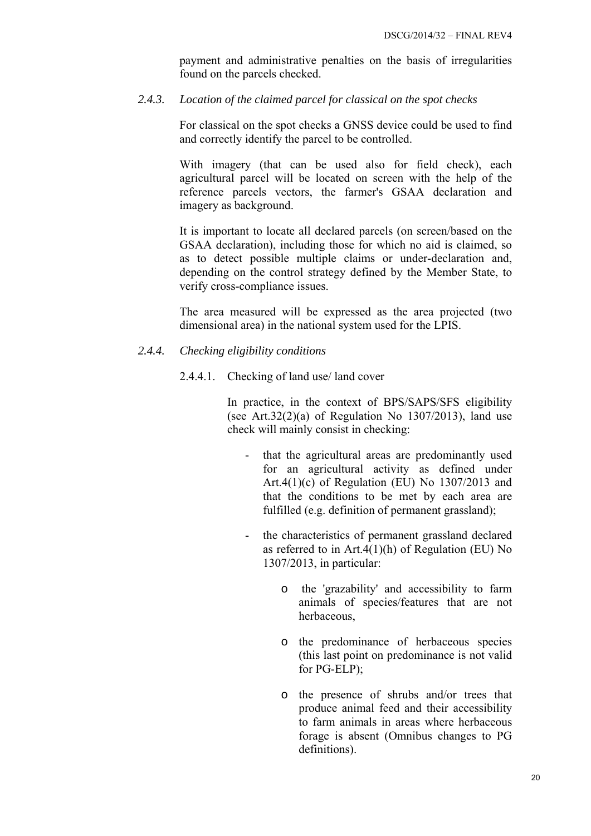payment and administrative penalties on the basis of irregularities found on the parcels checked.

#### <span id="page-19-0"></span>*2.4.3. Location of the claimed parcel for classical on the spot checks*

For classical on the spot checks a GNSS device could be used to find and correctly identify the parcel to be controlled.

With imagery (that can be used also for field check), each agricultural parcel will be located on screen with the help of the reference parcels vectors, the farmer's GSAA declaration and imagery as background.

It is important to locate all declared parcels (on screen/based on the GSAA declaration), including those for which no aid is claimed, so as to detect possible multiple claims or under-declaration and, depending on the control strategy defined by the Member State, to verify cross-compliance issues.

The area measured will be expressed as the area projected (two dimensional area) in the national system used for the LPIS.

#### <span id="page-19-2"></span><span id="page-19-1"></span>*2.4.4. Checking eligibility conditions*

2.4.4.1. Checking of land use/ land cover

In practice, in the context of BPS/SAPS/SFS eligibility (see Art.32 $(2)(a)$  of Regulation No 1307 $/2013$ ), land use check will mainly consist in checking:

- that the agricultural areas are predominantly used for an agricultural activity as defined under Art.4(1)(c) of Regulation (EU) No  $1307/2013$  and that the conditions to be met by each area are fulfilled (e.g. definition of permanent grassland);
- the characteristics of permanent grassland declared as referred to in  $Art.4(1)(h)$  of Regulation (EU) No 1307/2013, in particular:
	- o the 'grazability' and accessibility to farm animals of species/features that are not herbaceous,
	- o the predominance of herbaceous species (this last point on predominance is not valid for PG-ELP);
	- o the presence of shrubs and/or trees that produce animal feed and their accessibility to farm animals in areas where herbaceous forage is absent (Omnibus changes to PG definitions).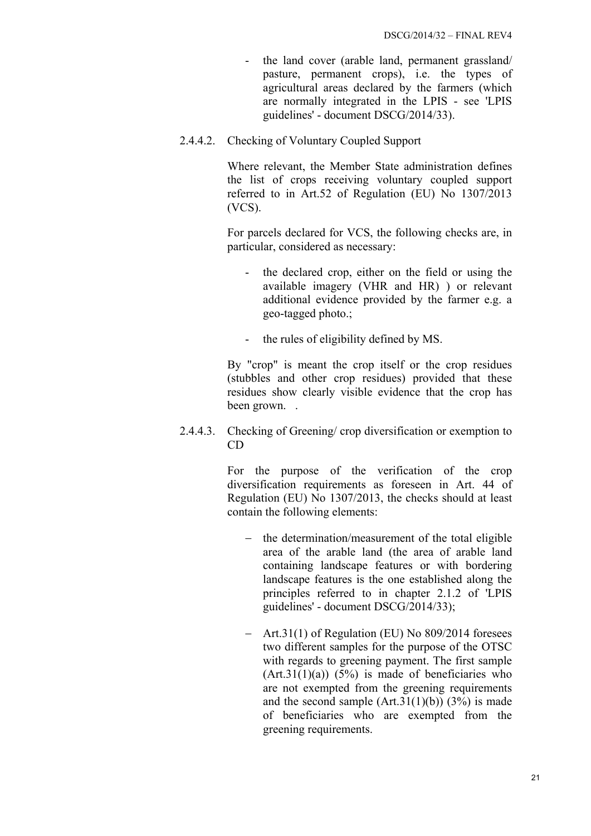- the land cover (arable land, permanent grassland/ pasture, permanent crops), i.e. the types of agricultural areas declared by the farmers (which are normally integrated in the LPIS - see 'LPIS guidelines' - document DSCG/2014/33).
- <span id="page-20-0"></span>2.4.4.2. Checking of Voluntary Coupled Support

Where relevant, the Member State administration defines the list of crops receiving voluntary coupled support referred to in Art.52 of Regulation (EU) No 1307/2013 (VCS).

For parcels declared for VCS, the following checks are, in particular, considered as necessary:

- the declared crop, either on the field or using the available imagery (VHR and HR) ) or relevant additional evidence provided by the farmer e.g. a geo-tagged photo.;
- the rules of eligibility defined by MS.

By "crop" is meant the crop itself or the crop residues (stubbles and other crop residues) provided that these residues show clearly visible evidence that the crop has been grown. .

<span id="page-20-1"></span>2.4.4.3. Checking of Greening/ crop diversification or exemption to CD

> For the purpose of the verification of the crop diversification requirements as foreseen in Art. 44 of Regulation (EU) No 1307/2013, the checks should at least contain the following elements:

- − the determination/measurement of the total eligible area of the arable land (the area of arable land containing landscape features or with bordering landscape features is the one established along the principles referred to in chapter 2.1.2 of 'LPIS guidelines' - document DSCG/2014/33);
- − Art.31(1) of Regulation (EU) No 809/2014 foresees two different samples for the purpose of the OTSC with regards to greening payment. The first sample  $(Art.31(1)(a))$   $(5%)$  is made of beneficiaries who are not exempted from the greening requirements and the second sample  $(Art.31(1)(b))$   $(3%)$  is made of beneficiaries who are exempted from the greening requirements.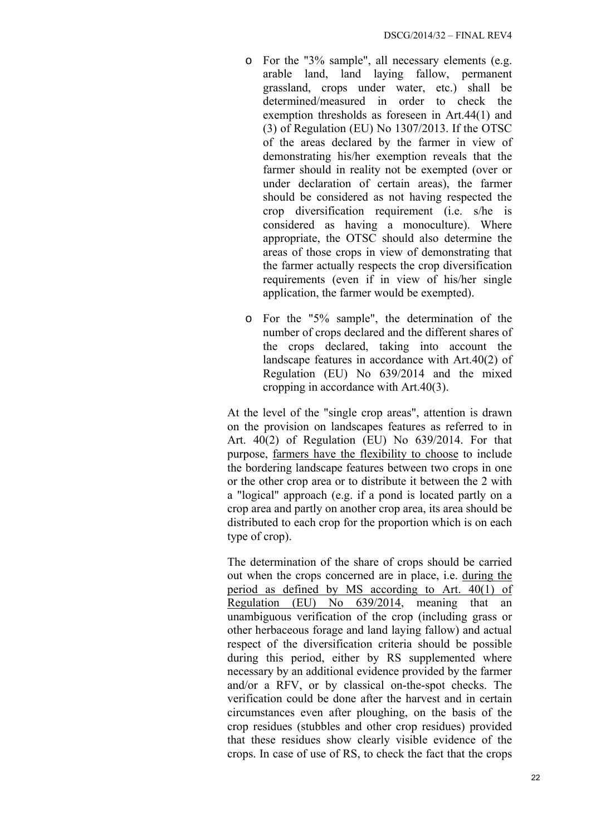- o For the "3% sample", all necessary elements (e.g. arable land, land laying fallow, permanent grassland, crops under water, etc.) shall be determined/measured in order to check the exemption thresholds as foreseen in Art.44(1) and (3) of Regulation (EU) No 1307/2013. If the OTSC of the areas declared by the farmer in view of demonstrating his/her exemption reveals that the farmer should in reality not be exempted (over or under declaration of certain areas), the farmer should be considered as not having respected the crop diversification requirement (i.e. s/he is considered as having a monoculture). Where appropriate, the OTSC should also determine the areas of those crops in view of demonstrating that the farmer actually respects the crop diversification requirements (even if in view of his/her single application, the farmer would be exempted).
- o For the "5% sample", the determination of the number of crops declared and the different shares of the crops declared, taking into account the landscape features in accordance with Art.40(2) of Regulation (EU) No 639/2014 and the mixed cropping in accordance with Art.40(3).

At the level of the "single crop areas", attention is drawn on the provision on landscapes features as referred to in Art. 40(2) of Regulation (EU) No 639/2014. For that purpose, farmers have the flexibility to choose to include the bordering landscape features between two crops in one or the other crop area or to distribute it between the 2 with a "logical" approach (e.g. if a pond is located partly on a crop area and partly on another crop area, its area should be distributed to each crop for the proportion which is on each type of crop).

The determination of the share of crops should be carried out when the crops concerned are in place, i.e. during the period as defined by MS according to Art. 40(1) of Regulation (EU) No 639/2014, meaning that an unambiguous verification of the crop (including grass or other herbaceous forage and land laying fallow) and actual respect of the diversification criteria should be possible during this period, either by RS supplemented where necessary by an additional evidence provided by the farmer and/or a RFV, or by classical on-the-spot checks. The verification could be done after the harvest and in certain circumstances even after ploughing, on the basis of the crop residues (stubbles and other crop residues) provided that these residues show clearly visible evidence of the crops. In case of use of RS, to check the fact that the crops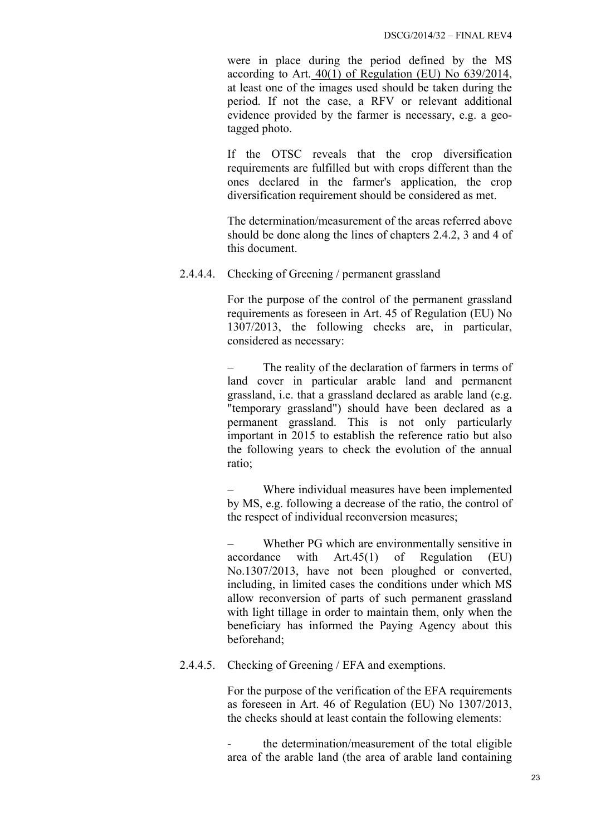were in place during the period defined by the MS according to Art. 40(1) of Regulation (EU) No 639/2014, at least one of the images used should be taken during the period. If not the case, a RFV or relevant additional evidence provided by the farmer is necessary, e.g. a geotagged photo.

If the OTSC reveals that the crop diversification requirements are fulfilled but with crops different than the ones declared in the farmer's application, the crop diversification requirement should be considered as met.

The determination/measurement of the areas referred above should be done along the lines of chapters 2.4.2, 3 and 4 of this document.

<span id="page-22-0"></span>2.4.4.4. Checking of Greening / permanent grassland

For the purpose of the control of the permanent grassland requirements as foreseen in Art. 45 of Regulation (EU) No 1307/2013, the following checks are, in particular, considered as necessary:

The reality of the declaration of farmers in terms of land cover in particular arable land and permanent grassland, i.e. that a grassland declared as arable land (e.g. "temporary grassland") should have been declared as a permanent grassland. This is not only particularly important in 2015 to establish the reference ratio but also the following years to check the evolution of the annual ratio;

Where individual measures have been implemented by MS, e.g. following a decrease of the ratio, the control of the respect of individual reconversion measures;

Whether PG which are environmentally sensitive in accordance with Art.45(1) of Regulation (EU) No.1307/2013, have not been ploughed or converted, including, in limited cases the conditions under which MS allow reconversion of parts of such permanent grassland with light tillage in order to maintain them, only when the beneficiary has informed the Paying Agency about this beforehand;

#### <span id="page-22-1"></span>2.4.4.5. Checking of Greening / EFA and exemptions.

For the purpose of the verification of the EFA requirements as foreseen in Art. 46 of Regulation (EU) No 1307/2013, the checks should at least contain the following elements:

the determination/measurement of the total eligible area of the arable land (the area of arable land containing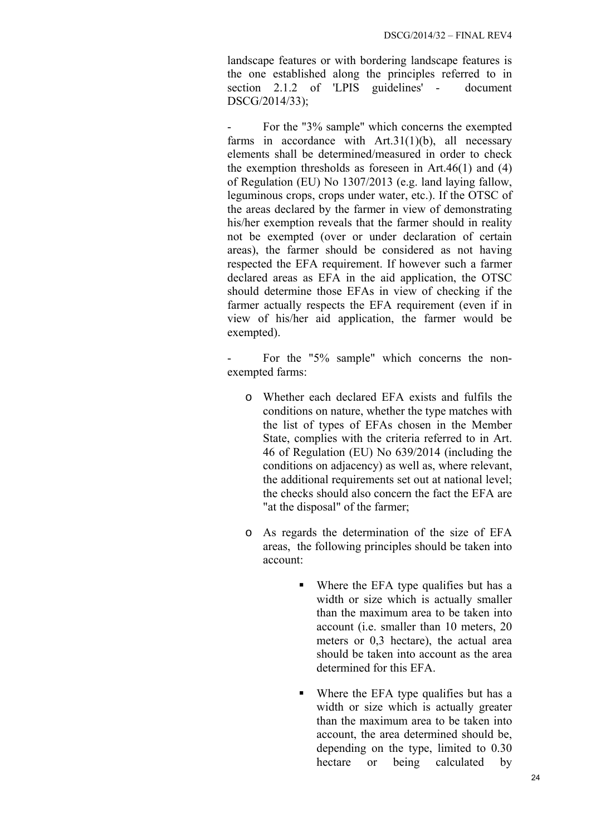landscape features or with bordering landscape features is the one established along the principles referred to in section 2.1.2 of 'LPIS guidelines' - document DSCG/2014/33);

For the "3% sample" which concerns the exempted farms in accordance with Art.31(1)(b), all necessary elements shall be determined/measured in order to check the exemption thresholds as foreseen in Art.46(1) and (4) of Regulation (EU) No 1307/2013 (e.g. land laying fallow, leguminous crops, crops under water, etc.). If the OTSC of the areas declared by the farmer in view of demonstrating his/her exemption reveals that the farmer should in reality not be exempted (over or under declaration of certain areas), the farmer should be considered as not having respected the EFA requirement. If however such a farmer declared areas as EFA in the aid application, the OTSC should determine those EFAs in view of checking if the farmer actually respects the EFA requirement (even if in view of his/her aid application, the farmer would be exempted).

For the "5% sample" which concerns the nonexempted farms:

- o Whether each declared EFA exists and fulfils the conditions on nature, whether the type matches with the list of types of EFAs chosen in the Member State, complies with the criteria referred to in Art. 46 of Regulation (EU) No 639/2014 (including the conditions on adjacency) as well as, where relevant, the additional requirements set out at national level; the checks should also concern the fact the EFA are "at the disposal" of the farmer;
- o As regards the determination of the size of EFA areas, the following principles should be taken into account:
	- Where the EFA type qualifies but has a width or size which is actually smaller than the maximum area to be taken into account (i.e. smaller than 10 meters, 20 meters or 0,3 hectare), the actual area should be taken into account as the area determined for this EFA.
	- Where the EFA type qualifies but has a width or size which is actually greater than the maximum area to be taken into account, the area determined should be, depending on the type, limited to 0.30 hectare or being calculated by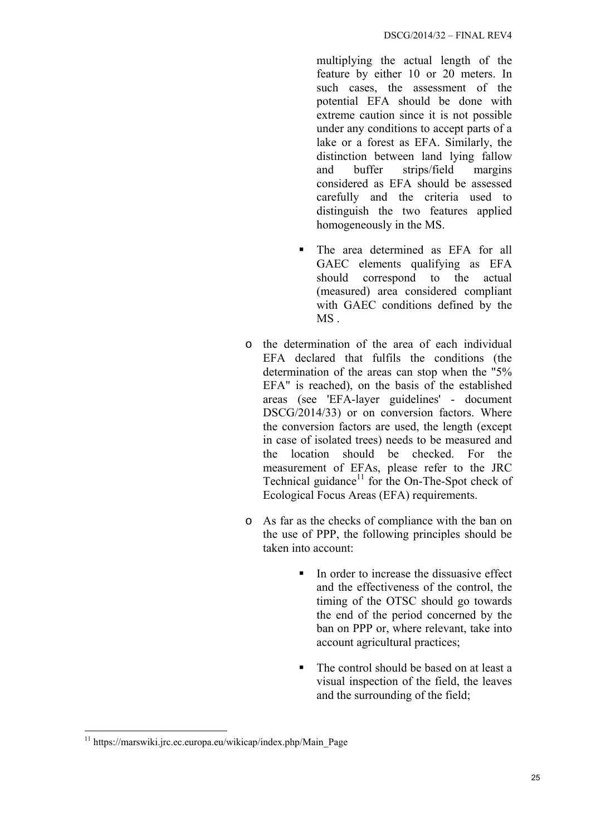multiplying the actual length of the feature by either 10 or 20 meters. In such cases, the assessment of the potential EFA should be done with extreme caution since it is not possible under any conditions to accept parts of a lake or a forest as EFA. Similarly, the distinction between land lying fallow and buffer strips/field margins considered as EFA should be assessed carefully and the criteria used to distinguish the two features applied homogeneously in the MS.

- The area determined as EFA for all GAEC elements qualifying as EFA should correspond to the actual (measured) area considered compliant with GAEC conditions defined by the MS .
- o the determination of the area of each individual EFA declared that fulfils the conditions (the determination of the areas can stop when the "5% EFA" is reached), on the basis of the established areas (see 'EFA-layer guidelines' - document DSCG/2014/33) or on conversion factors. Where the conversion factors are used, the length (except in case of isolated trees) needs to be measured and the location should be checked. For the measurement of EFAs, please refer to the JRC Technical guidance $1$  for the On-The-Spot check of Ecological Focus Areas (EFA) requirements.
- o As far as the checks of compliance with the ban on the use of PPP, the following principles should be taken into account:
	- In order to increase the dissuasive effect and the effectiveness of the control, the timing of the OTSC should go towards the end of the period concerned by the ban on PPP or, where relevant, take into account agricultural practices;
	- The control should be based on at least a visual inspection of the field, the leaves and the surrounding of the field;

<sup>1</sup>  $11$  https://marswiki.jrc.ec.europa.eu/wikicap/index.php/Main\_Page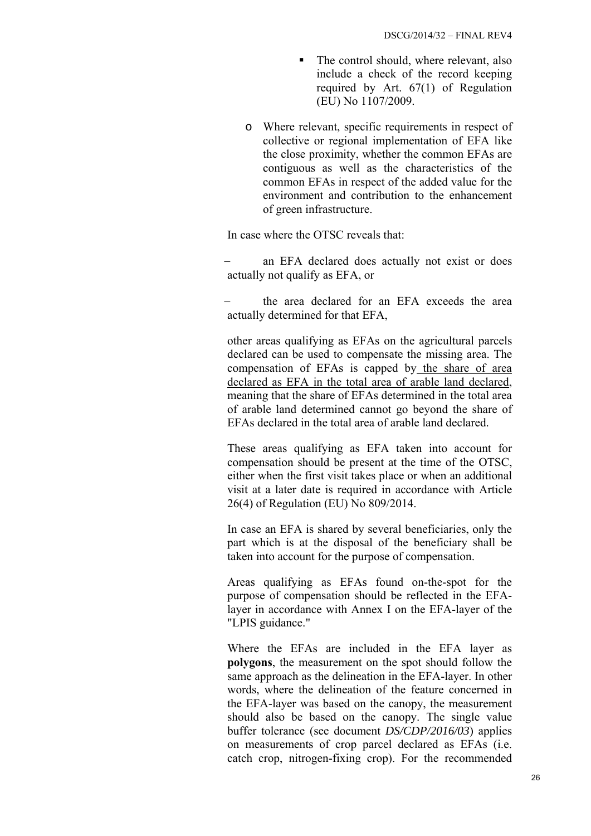- The control should, where relevant, also include a check of the record keeping required by Art. 67(1) of Regulation (EU) No 1107/2009.
- o Where relevant, specific requirements in respect of collective or regional implementation of EFA like the close proximity, whether the common EFAs are contiguous as well as the characteristics of the common EFAs in respect of the added value for the environment and contribution to the enhancement of green infrastructure.

In case where the OTSC reveals that:

an EFA declared does actually not exist or does actually not qualify as EFA, or

the area declared for an EFA exceeds the area actually determined for that EFA,

other areas qualifying as EFAs on the agricultural parcels declared can be used to compensate the missing area. The compensation of EFAs is capped by the share of area declared as EFA in the total area of arable land declared, meaning that the share of EFAs determined in the total area of arable land determined cannot go beyond the share of EFAs declared in the total area of arable land declared.

These areas qualifying as EFA taken into account for compensation should be present at the time of the OTSC, either when the first visit takes place or when an additional visit at a later date is required in accordance with Article 26(4) of Regulation (EU) No 809/2014.

In case an EFA is shared by several beneficiaries, only the part which is at the disposal of the beneficiary shall be taken into account for the purpose of compensation.

Areas qualifying as EFAs found on-the-spot for the purpose of compensation should be reflected in the EFAlayer in accordance with Annex I on the EFA-layer of the "LPIS guidance."

Where the EFAs are included in the EFA layer as **polygons**, the measurement on the spot should follow the same approach as the delineation in the EFA-layer. In other words, where the delineation of the feature concerned in the EFA-layer was based on the canopy, the measurement should also be based on the canopy. The single value buffer tolerance (see document *DS/CDP/2016/03*) applies on measurements of crop parcel declared as EFAs (i.e. catch crop, nitrogen-fixing crop). For the recommended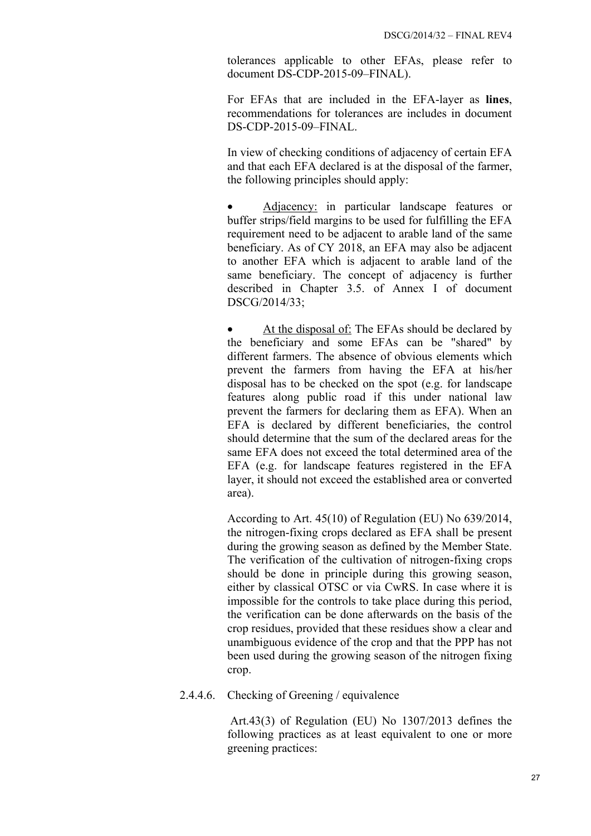tolerances applicable to other EFAs, please refer to document DS-CDP-2015-09–FINAL).

For EFAs that are included in the EFA-layer as **lines**, recommendations for tolerances are includes in document DS-CDP-2015-09–FINAL.

In view of checking conditions of adjacency of certain EFA and that each EFA declared is at the disposal of the farmer, the following principles should apply:

• Adjacency: in particular landscape features or buffer strips/field margins to be used for fulfilling the EFA requirement need to be adjacent to arable land of the same beneficiary. As of CY 2018, an EFA may also be adjacent to another EFA which is adjacent to arable land of the same beneficiary. The concept of adjacency is further described in Chapter 3.5. of Annex I of document DSCG/2014/33;

At the disposal of: The EFAs should be declared by the beneficiary and some EFAs can be "shared" by different farmers. The absence of obvious elements which prevent the farmers from having the EFA at his/her disposal has to be checked on the spot (e.g. for landscape features along public road if this under national law prevent the farmers for declaring them as EFA). When an EFA is declared by different beneficiaries, the control should determine that the sum of the declared areas for the same EFA does not exceed the total determined area of the EFA (e.g. for landscape features registered in the EFA layer, it should not exceed the established area or converted area).

According to Art. 45(10) of Regulation (EU) No 639/2014, the nitrogen-fixing crops declared as EFA shall be present during the growing season as defined by the Member State. The verification of the cultivation of nitrogen-fixing crops should be done in principle during this growing season, either by classical OTSC or via CwRS. In case where it is impossible for the controls to take place during this period, the verification can be done afterwards on the basis of the crop residues, provided that these residues show a clear and unambiguous evidence of the crop and that the PPP has not been used during the growing season of the nitrogen fixing crop.

<span id="page-26-0"></span>2.4.4.6. Checking of Greening / equivalence

 Art.43(3) of Regulation (EU) No 1307/2013 defines the following practices as at least equivalent to one or more greening practices: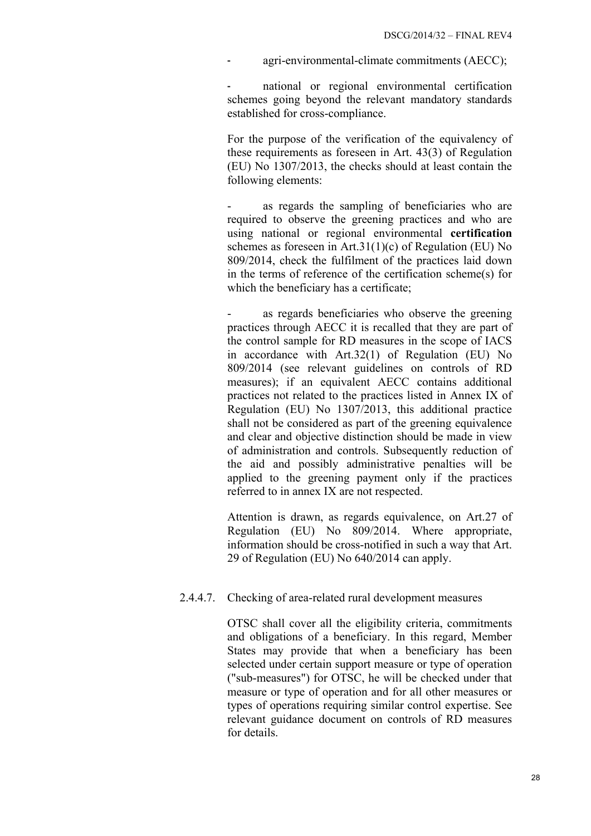agri-environmental-climate commitments (AECC);

national or regional environmental certification schemes going beyond the relevant mandatory standards established for cross-compliance.

For the purpose of the verification of the equivalency of these requirements as foreseen in Art. 43(3) of Regulation (EU) No 1307/2013, the checks should at least contain the following elements:

as regards the sampling of beneficiaries who are required to observe the greening practices and who are using national or regional environmental **certification** schemes as foreseen in Art.31(1)(c) of Regulation (EU) No 809/2014, check the fulfilment of the practices laid down in the terms of reference of the certification scheme(s) for which the beneficiary has a certificate;

as regards beneficiaries who observe the greening practices through AECC it is recalled that they are part of the control sample for RD measures in the scope of IACS in accordance with Art.32(1) of Regulation (EU) No 809/2014 (see relevant guidelines on controls of RD measures); if an equivalent AECC contains additional practices not related to the practices listed in Annex IX of Regulation (EU) No 1307/2013, this additional practice shall not be considered as part of the greening equivalence and clear and objective distinction should be made in view of administration and controls. Subsequently reduction of the aid and possibly administrative penalties will be applied to the greening payment only if the practices referred to in annex IX are not respected.

Attention is drawn, as regards equivalence, on Art.27 of Regulation (EU) No 809/2014. Where appropriate, information should be cross-notified in such a way that Art. 29 of Regulation (EU) No 640/2014 can apply.

#### <span id="page-27-0"></span>2.4.4.7. Checking of area-related rural development measures

OTSC shall cover all the eligibility criteria, commitments and obligations of a beneficiary. In this regard, Member States may provide that when a beneficiary has been selected under certain support measure or type of operation ("sub-measures") for OTSC, he will be checked under that measure or type of operation and for all other measures or types of operations requiring similar control expertise. See relevant guidance document on controls of RD measures for details.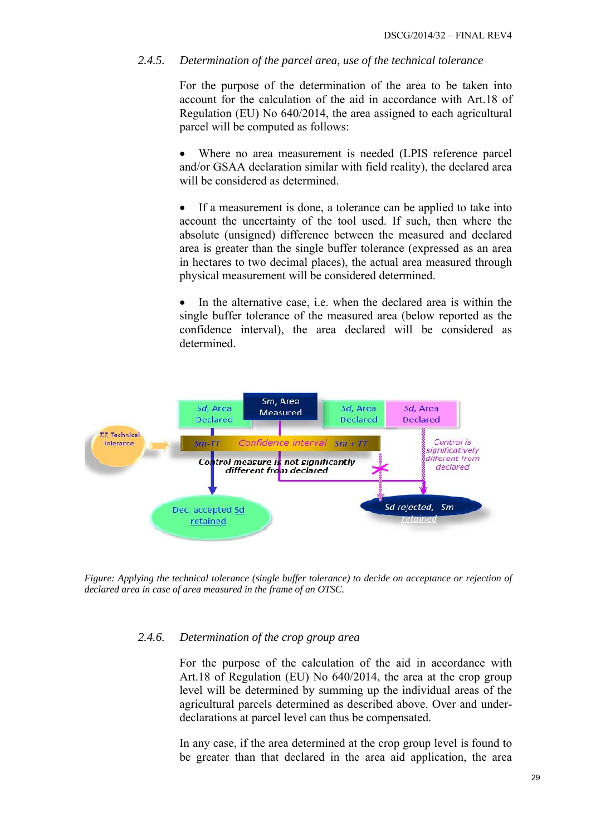### <span id="page-28-0"></span>*2.4.5. Determination of the parcel area, use of the technical tolerance*

For the purpose of the determination of the area to be taken into account for the calculation of the aid in accordance with Art.18 of Regulation (EU) No 640/2014, the area assigned to each agricultural parcel will be computed as follows:

Where no area measurement is needed (LPIS reference parcel and/or GSAA declaration similar with field reality), the declared area will be considered as determined.

• If a measurement is done, a tolerance can be applied to take into account the uncertainty of the tool used. If such, then where the absolute (unsigned) difference between the measured and declared area is greater than the single buffer tolerance (expressed as an area in hectares to two decimal places), the actual area measured through physical measurement will be considered determined.

In the alternative case, i.e. when the declared area is within the single buffer tolerance of the measured area (below reported as the confidence interval), the area declared will be considered as determined.



*Figure: Applying the technical tolerance (single buffer tolerance) to decide on acceptance or rejection of declared area in case of area measured in the frame of an OTSC.* 

#### *2.4.6. Determination of the crop group area*

For the purpose of the calculation of the aid in accordance with Art.18 of Regulation (EU) No 640/2014, the area at the crop group level will be determined by summing up the individual areas of the agricultural parcels determined as described above. Over and underdeclarations at parcel level can thus be compensated.

In any case, if the area determined at the crop group level is found to be greater than that declared in the area aid application, the area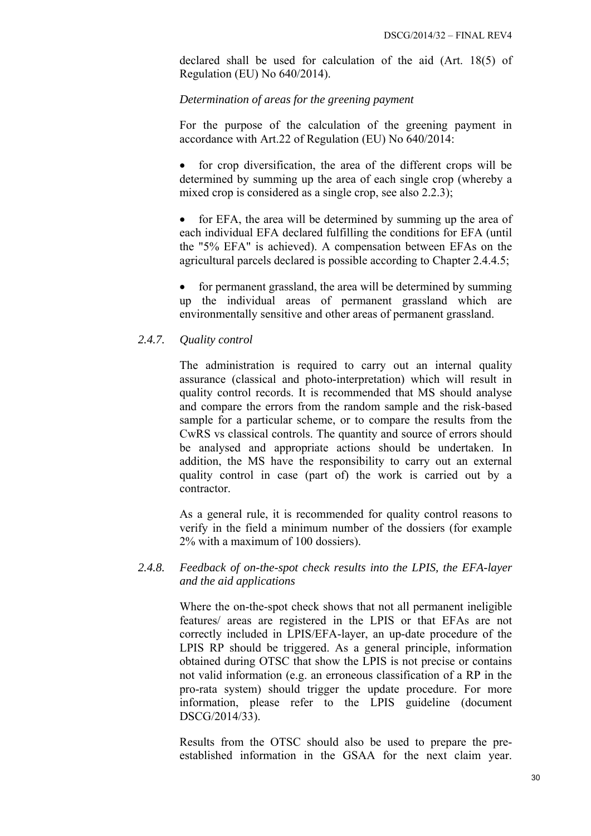declared shall be used for calculation of the aid (Art. 18(5) of Regulation (EU) No 640/2014).

#### *Determination of areas for the greening payment*

For the purpose of the calculation of the greening payment in accordance with Art.22 of Regulation (EU) No 640/2014:

• for crop diversification, the area of the different crops will be determined by summing up the area of each single crop (whereby a mixed crop is considered as a single crop, see also 2.2.3);

for EFA, the area will be determined by summing up the area of each individual EFA declared fulfilling the conditions for EFA (until the "5% EFA" is achieved). A compensation between EFAs on the agricultural parcels declared is possible according to Chapter 2.4.4.5;

• for permanent grassland, the area will be determined by summing up the individual areas of permanent grassland which are environmentally sensitive and other areas of permanent grassland.

#### <span id="page-29-0"></span>*2.4.7. Quality control*

The administration is required to carry out an internal quality assurance (classical and photo-interpretation) which will result in quality control records. It is recommended that MS should analyse and compare the errors from the random sample and the risk-based sample for a particular scheme, or to compare the results from the CwRS vs classical controls. The quantity and source of errors should be analysed and appropriate actions should be undertaken. In addition, the MS have the responsibility to carry out an external quality control in case (part of) the work is carried out by a contractor.

As a general rule, it is recommended for quality control reasons to verify in the field a minimum number of the dossiers (for example 2% with a maximum of 100 dossiers).

### <span id="page-29-1"></span>*2.4.8. Feedback of on-the-spot check results into the LPIS, the EFA-layer and the aid applications*

Where the on-the-spot check shows that not all permanent ineligible features/ areas are registered in the LPIS or that EFAs are not correctly included in LPIS/EFA-layer, an up-date procedure of the LPIS RP should be triggered. As a general principle, information obtained during OTSC that show the LPIS is not precise or contains not valid information (e.g. an erroneous classification of a RP in the pro-rata system) should trigger the update procedure. For more information, please refer to the LPIS guideline (document DSCG/2014/33).

Results from the OTSC should also be used to prepare the preestablished information in the GSAA for the next claim year.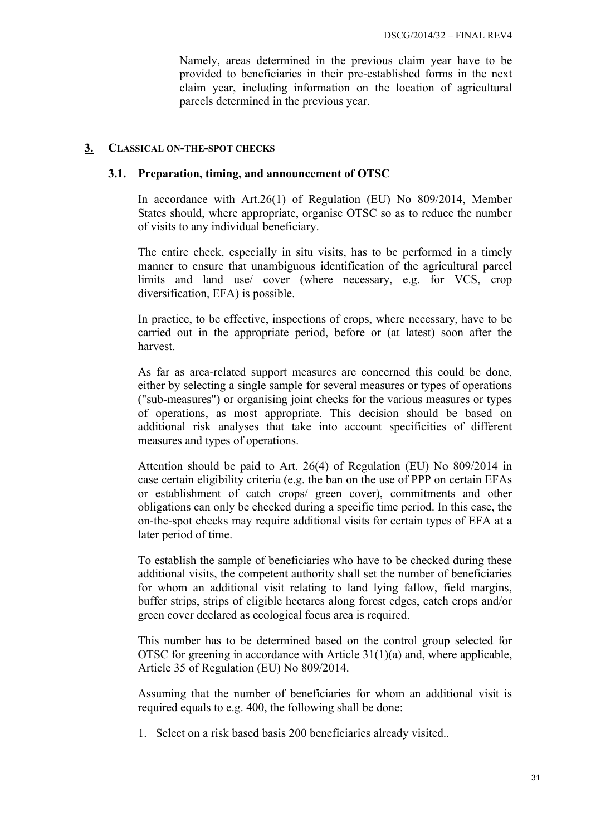Namely, areas determined in the previous claim year have to be provided to beneficiaries in their pre-established forms in the next claim year, including information on the location of agricultural parcels determined in the previous year.

#### <span id="page-30-1"></span><span id="page-30-0"></span>**3. CLASSICAL ON-THE-SPOT CHECKS**

#### **3.1. Preparation, timing, and announcement of OTSC**

In accordance with Art.26(1) of Regulation (EU) No 809/2014, Member States should, where appropriate, organise OTSC so as to reduce the number of visits to any individual beneficiary.

The entire check, especially in situ visits, has to be performed in a timely manner to ensure that unambiguous identification of the agricultural parcel limits and land use/ cover (where necessary, e.g. for VCS, crop diversification, EFA) is possible.

In practice, to be effective, inspections of crops, where necessary, have to be carried out in the appropriate period, before or (at latest) soon after the harvest.

As far as area-related support measures are concerned this could be done, either by selecting a single sample for several measures or types of operations ("sub-measures") or organising joint checks for the various measures or types of operations, as most appropriate. This decision should be based on additional risk analyses that take into account specificities of different measures and types of operations.

Attention should be paid to Art. 26(4) of Regulation (EU) No 809/2014 in case certain eligibility criteria (e.g. the ban on the use of PPP on certain EFAs or establishment of catch crops/ green cover), commitments and other obligations can only be checked during a specific time period. In this case, the on-the-spot checks may require additional visits for certain types of EFA at a later period of time.

To establish the sample of beneficiaries who have to be checked during these additional visits, the competent authority shall set the number of beneficiaries for whom an additional visit relating to land lying fallow, field margins, buffer strips, strips of eligible hectares along forest edges, catch crops and/or green cover declared as ecological focus area is required.

This number has to be determined based on the control group selected for OTSC for greening in accordance with Article  $31(1)(a)$  and, where applicable, Article 35 of Regulation (EU) No 809/2014.

Assuming that the number of beneficiaries for whom an additional visit is required equals to e.g. 400, the following shall be done:

1. Select on a risk based basis 200 beneficiaries already visited..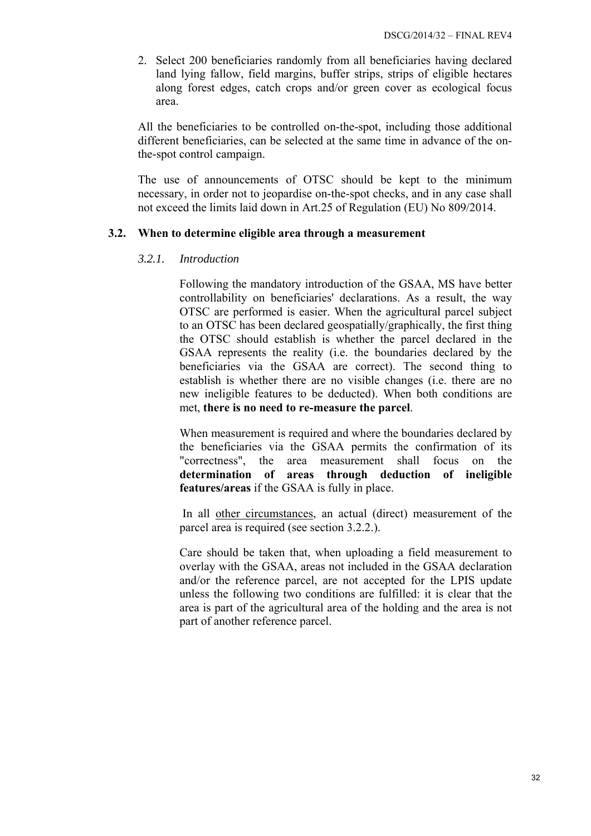2. Select 200 beneficiaries randomly from all beneficiaries having declared land lying fallow, field margins, buffer strips, strips of eligible hectares along forest edges, catch crops and/or green cover as ecological focus area.

All the beneficiaries to be controlled on-the-spot, including those additional different beneficiaries, can be selected at the same time in advance of the onthe-spot control campaign.

The use of announcements of OTSC should be kept to the minimum necessary, in order not to jeopardise on-the-spot checks, and in any case shall not exceed the limits laid down in Art.25 of Regulation (EU) No 809/2014.

#### <span id="page-31-1"></span><span id="page-31-0"></span>**3.2. When to determine eligible area through a measurement**

#### *3.2.1. Introduction*

Following the mandatory introduction of the GSAA, MS have better controllability on beneficiaries' declarations. As a result, the way OTSC are performed is easier. When the agricultural parcel subject to an OTSC has been declared geospatially/graphically, the first thing the OTSC should establish is whether the parcel declared in the GSAA represents the reality (i.e. the boundaries declared by the beneficiaries via the GSAA are correct). The second thing to establish is whether there are no visible changes (i.e. there are no new ineligible features to be deducted). When both conditions are met, **there is no need to re-measure the parcel**.

When measurement is required and where the boundaries declared by the beneficiaries via the GSAA permits the confirmation of its "correctness", the area measurement shall focus on the **determination of areas through deduction of ineligible features/areas** if the GSAA is fully in place.

 In all other circumstances, an actual (direct) measurement of the parcel area is required (see section 3.2.2.).

Care should be taken that, when uploading a field measurement to overlay with the GSAA, areas not included in the GSAA declaration and/or the reference parcel, are not accepted for the LPIS update unless the following two conditions are fulfilled: it is clear that the area is part of the agricultural area of the holding and the area is not part of another reference parcel.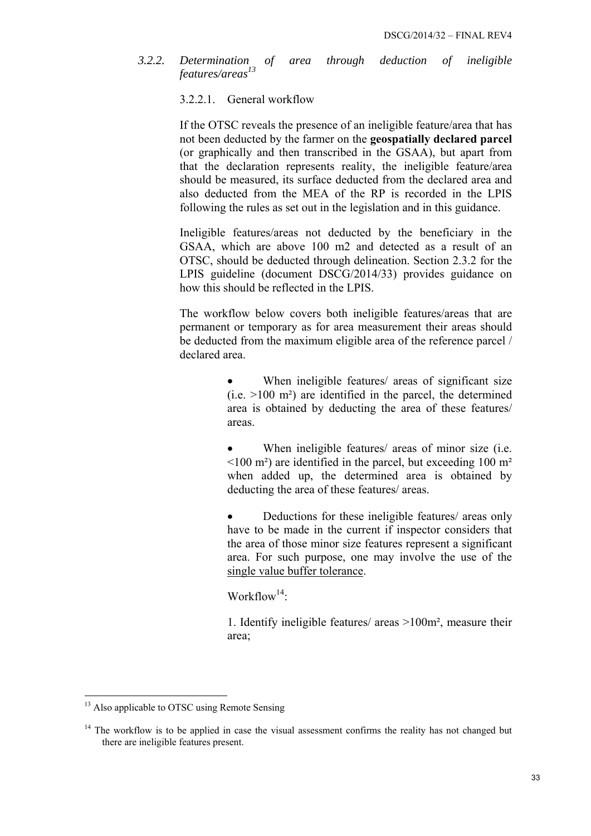<span id="page-32-1"></span><span id="page-32-0"></span>*3.2.2. Determination of area through deduction of ineligible features/areas<sup>13</sup>*

#### 3.2.2.1. General workflow

If the OTSC reveals the presence of an ineligible feature/area that has not been deducted by the farmer on the **geospatially declared parcel**  (or graphically and then transcribed in the GSAA), but apart from that the declaration represents reality, the ineligible feature/area should be measured, its surface deducted from the declared area and also deducted from the MEA of the RP is recorded in the LPIS following the rules as set out in the legislation and in this guidance.

Ineligible features/areas not deducted by the beneficiary in the GSAA, which are above 100 m2 and detected as a result of an OTSC, should be deducted through delineation. Section 2.3.2 for the LPIS guideline (document DSCG/2014/33) provides guidance on how this should be reflected in the LPIS.

The workflow below covers both ineligible features/areas that are permanent or temporary as for area measurement their areas should be deducted from the maximum eligible area of the reference parcel / declared area.

- When ineligible features/ areas of significant size  $(i.e. >100 \text{ m}^2)$  are identified in the parcel, the determined area is obtained by deducting the area of these features/ areas.
- When ineligible features/ areas of minor size (i.e.  $\leq$ 100 m<sup>2</sup>) are identified in the parcel, but exceeding 100 m<sup>2</sup> when added up, the determined area is obtained by deducting the area of these features/ areas.
- Deductions for these ineligible features/ areas only have to be made in the current if inspector considers that the area of those minor size features represent a significant area. For such purpose, one may involve the use of the single value buffer tolerance.

Workflow<sup>14.</sup>

1. Identify ineligible features/ areas >100m², measure their area;

1

<sup>&</sup>lt;sup>13</sup> Also applicable to OTSC using Remote Sensing

 $14$  The workflow is to be applied in case the visual assessment confirms the reality has not changed but there are ineligible features present.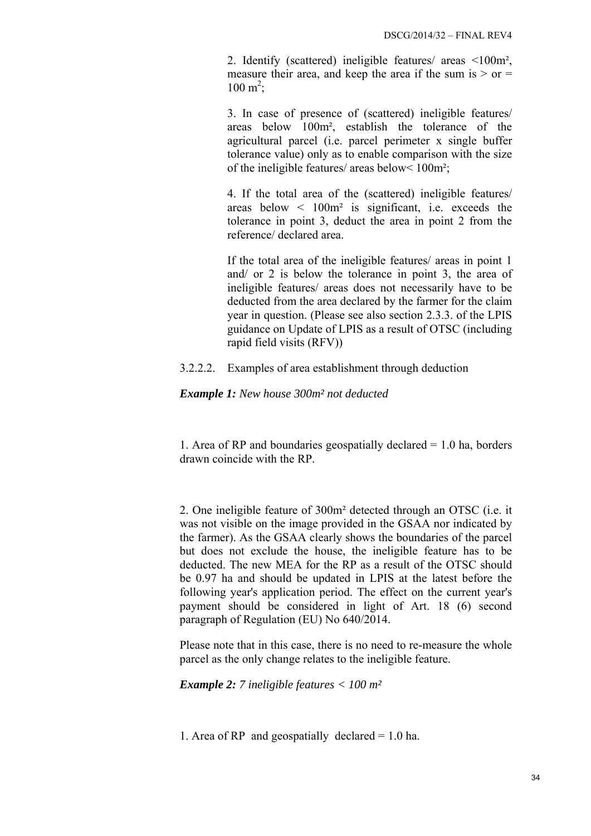2. Identify (scattered) ineligible features/ areas <100m², measure their area, and keep the area if the sum is  $>$  or  $=$  $100 \text{ m}^2$ ;

3. In case of presence of (scattered) ineligible features/ areas below 100m², establish the tolerance of the agricultural parcel (i.e. parcel perimeter x single buffer tolerance value) only as to enable comparison with the size of the ineligible features/ areas below< 100m²;

4. If the total area of the (scattered) ineligible features/ areas below  $\leq 100m^2$  is significant, i.e. exceeds the tolerance in point 3, deduct the area in point 2 from the reference/ declared area.

If the total area of the ineligible features/ areas in point 1 and/ or 2 is below the tolerance in point 3, the area of ineligible features/ areas does not necessarily have to be deducted from the area declared by the farmer for the claim year in question. (Please see also section 2.3.3. of the LPIS guidance on Update of LPIS as a result of OTSC (including rapid field visits (RFV))

<span id="page-33-0"></span>3.2.2.2. Examples of area establishment through deduction

*Example 1: New house 300m² not deducted* 

1. Area of RP and boundaries geospatially declared  $= 1.0$  ha, borders drawn coincide with the RP.

2. One ineligible feature of 300m² detected through an OTSC (i.e. it was not visible on the image provided in the GSAA nor indicated by the farmer). As the GSAA clearly shows the boundaries of the parcel but does not exclude the house, the ineligible feature has to be deducted. The new MEA for the RP as a result of the OTSC should be 0.97 ha and should be updated in LPIS at the latest before the following year's application period. The effect on the current year's payment should be considered in light of Art. 18 (6) second paragraph of Regulation (EU) No 640/2014.

Please note that in this case, there is no need to re-measure the whole parcel as the only change relates to the ineligible feature.

*Example 2: 7 ineligible features < 100 m²* 

1. Area of RP and geospatially declared = 1.0 ha.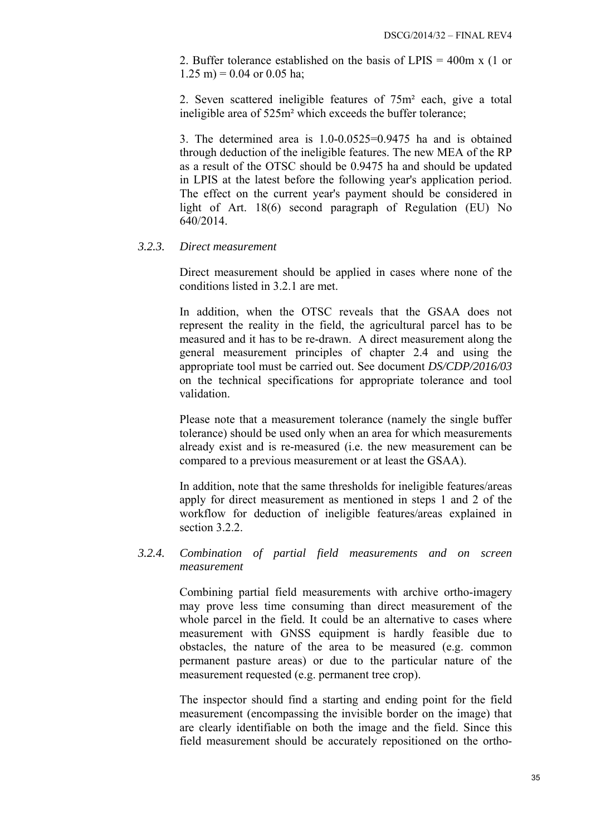2. Buffer tolerance established on the basis of LPIS = 400m x (1 or  $1.25 \text{ m} = 0.04 \text{ or } 0.05 \text{ ha}$ ;

2. Seven scattered ineligible features of 75m² each, give a total ineligible area of 525m² which exceeds the buffer tolerance;

3. The determined area is 1.0-0.0525=0.9475 ha and is obtained through deduction of the ineligible features. The new MEA of the RP as a result of the OTSC should be 0.9475 ha and should be updated in LPIS at the latest before the following year's application period. The effect on the current year's payment should be considered in light of Art. 18(6) second paragraph of Regulation (EU) No 640/2014.

#### <span id="page-34-0"></span>*3.2.3. Direct measurement*

Direct measurement should be applied in cases where none of the conditions listed in 3.2.1 are met.

In addition, when the OTSC reveals that the GSAA does not represent the reality in the field, the agricultural parcel has to be measured and it has to be re-drawn. A direct measurement along the general measurement principles of chapter 2.4 and using the appropriate tool must be carried out. See document *DS/CDP/2016/03* on the technical specifications for appropriate tolerance and tool validation.

Please note that a measurement tolerance (namely the single buffer tolerance) should be used only when an area for which measurements already exist and is re-measured (i.e. the new measurement can be compared to a previous measurement or at least the GSAA).

In addition, note that the same thresholds for ineligible features/areas apply for direct measurement as mentioned in steps 1 and 2 of the workflow for deduction of ineligible features/areas explained in section 3.2.2.

### <span id="page-34-1"></span>*3.2.4. Combination of partial field measurements and on screen measurement*

Combining partial field measurements with archive ortho-imagery may prove less time consuming than direct measurement of the whole parcel in the field. It could be an alternative to cases where measurement with GNSS equipment is hardly feasible due to obstacles, the nature of the area to be measured (e.g. common permanent pasture areas) or due to the particular nature of the measurement requested (e.g. permanent tree crop).

The inspector should find a starting and ending point for the field measurement (encompassing the invisible border on the image) that are clearly identifiable on both the image and the field. Since this field measurement should be accurately repositioned on the ortho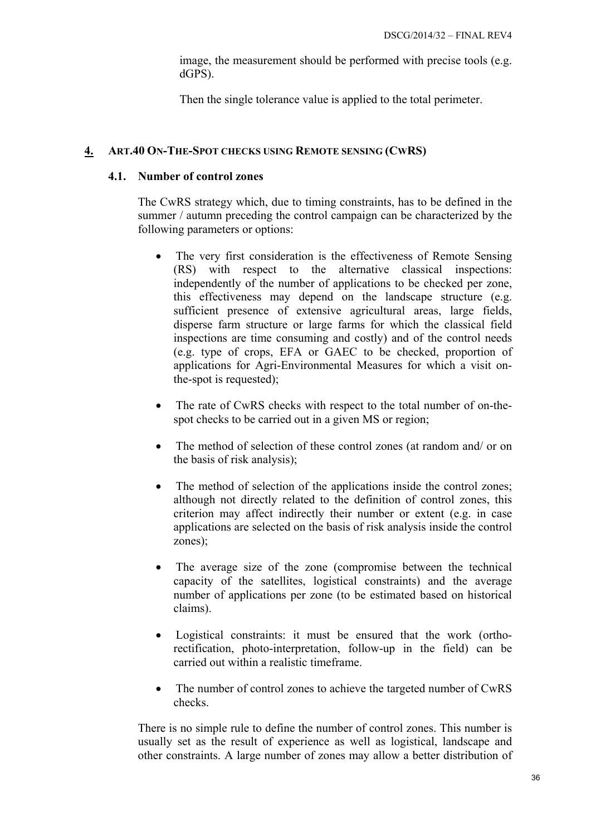image, the measurement should be performed with precise tools (e.g. dGPS).

Then the single tolerance value is applied to the total perimeter.

### <span id="page-35-1"></span><span id="page-35-0"></span>**4. ART.40 ON-THE-SPOT CHECKS USING REMOTE SENSING (CWRS)**

### **4.1. Number of control zones**

The CwRS strategy which, due to timing constraints, has to be defined in the summer / autumn preceding the control campaign can be characterized by the following parameters or options:

- The very first consideration is the effectiveness of Remote Sensing (RS) with respect to the alternative classical inspections: independently of the number of applications to be checked per zone, this effectiveness may depend on the landscape structure (e.g. sufficient presence of extensive agricultural areas, large fields, disperse farm structure or large farms for which the classical field inspections are time consuming and costly) and of the control needs (e.g. type of crops, EFA or GAEC to be checked, proportion of applications for Agri-Environmental Measures for which a visit onthe-spot is requested);
- The rate of CwRS checks with respect to the total number of on-thespot checks to be carried out in a given MS or region;
- The method of selection of these control zones (at random and/ or on the basis of risk analysis);
- The method of selection of the applications inside the control zones; although not directly related to the definition of control zones, this criterion may affect indirectly their number or extent (e.g. in case applications are selected on the basis of risk analysis inside the control zones);
- The average size of the zone (compromise between the technical capacity of the satellites, logistical constraints) and the average number of applications per zone (to be estimated based on historical claims).
- Logistical constraints: it must be ensured that the work (orthorectification, photo-interpretation, follow-up in the field) can be carried out within a realistic timeframe.
- The number of control zones to achieve the targeted number of CwRS checks.

There is no simple rule to define the number of control zones. This number is usually set as the result of experience as well as logistical, landscape and other constraints. A large number of zones may allow a better distribution of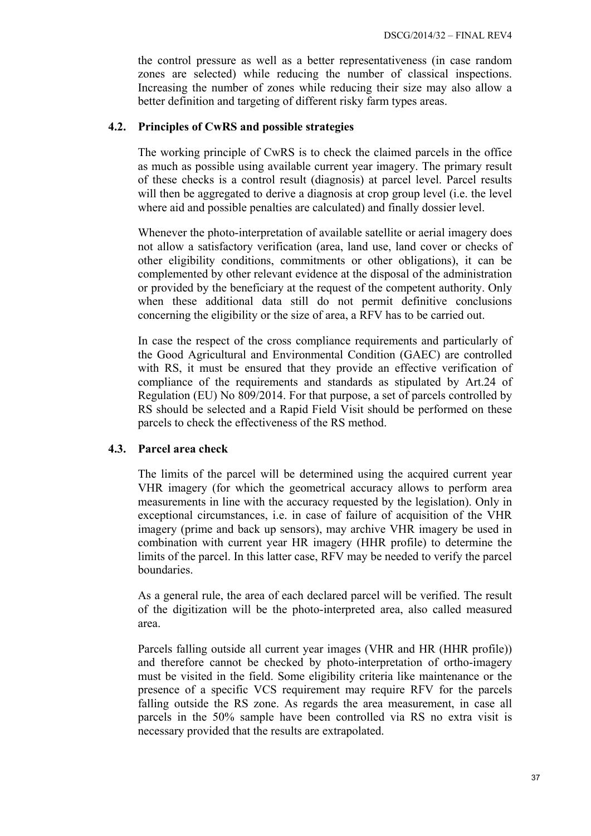the control pressure as well as a better representativeness (in case random zones are selected) while reducing the number of classical inspections. Increasing the number of zones while reducing their size may also allow a better definition and targeting of different risky farm types areas.

### <span id="page-36-0"></span>**4.2. Principles of CwRS and possible strategies**

The working principle of CwRS is to check the claimed parcels in the office as much as possible using available current year imagery. The primary result of these checks is a control result (diagnosis) at parcel level. Parcel results will then be aggregated to derive a diagnosis at crop group level (i.e. the level where aid and possible penalties are calculated) and finally dossier level.

Whenever the photo-interpretation of available satellite or aerial imagery does not allow a satisfactory verification (area, land use, land cover or checks of other eligibility conditions, commitments or other obligations), it can be complemented by other relevant evidence at the disposal of the administration or provided by the beneficiary at the request of the competent authority. Only when these additional data still do not permit definitive conclusions concerning the eligibility or the size of area, a RFV has to be carried out.

In case the respect of the cross compliance requirements and particularly of the Good Agricultural and Environmental Condition (GAEC) are controlled with RS, it must be ensured that they provide an effective verification of compliance of the requirements and standards as stipulated by Art.24 of Regulation (EU) No 809/2014. For that purpose, a set of parcels controlled by RS should be selected and a Rapid Field Visit should be performed on these parcels to check the effectiveness of the RS method.

### <span id="page-36-1"></span>**4.3. Parcel area check**

The limits of the parcel will be determined using the acquired current year VHR imagery (for which the geometrical accuracy allows to perform area measurements in line with the accuracy requested by the legislation). Only in exceptional circumstances, i.e. in case of failure of acquisition of the VHR imagery (prime and back up sensors), may archive VHR imagery be used in combination with current year HR imagery (HHR profile) to determine the limits of the parcel. In this latter case, RFV may be needed to verify the parcel boundaries.

As a general rule, the area of each declared parcel will be verified. The result of the digitization will be the photo-interpreted area, also called measured area.

Parcels falling outside all current year images (VHR and HR (HHR profile)) and therefore cannot be checked by photo-interpretation of ortho-imagery must be visited in the field. Some eligibility criteria like maintenance or the presence of a specific VCS requirement may require RFV for the parcels falling outside the RS zone. As regards the area measurement, in case all parcels in the 50% sample have been controlled via RS no extra visit is necessary provided that the results are extrapolated.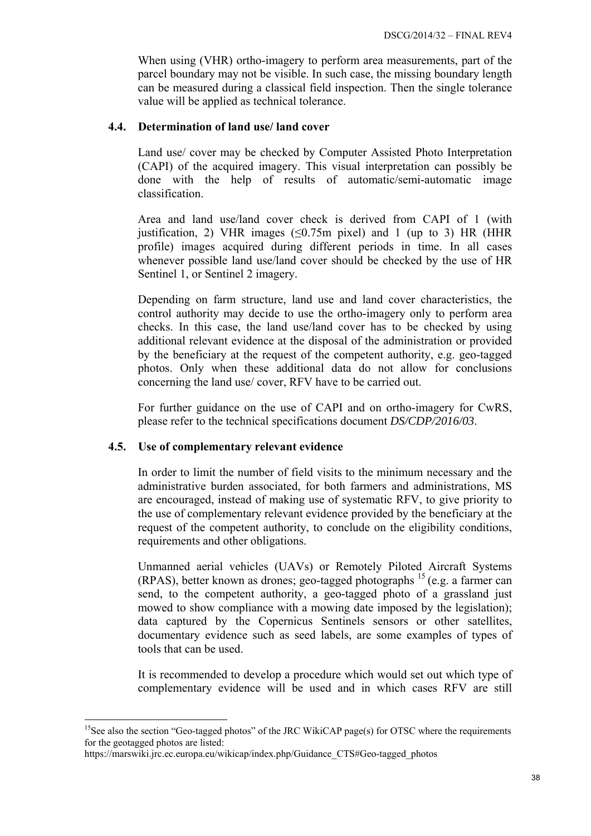When using (VHR) ortho-imagery to perform area measurements, part of the parcel boundary may not be visible. In such case, the missing boundary length can be measured during a classical field inspection. Then the single tolerance value will be applied as technical tolerance.

### <span id="page-37-0"></span>**4.4. Determination of land use/ land cover**

Land use/ cover may be checked by Computer Assisted Photo Interpretation (CAPI) of the acquired imagery. This visual interpretation can possibly be done with the help of results of automatic/semi-automatic image classification.

Area and land use/land cover check is derived from CAPI of 1 (with justification, 2) VHR images ( $\leq 0.75$ m pixel) and 1 (up to 3) HR (HHR profile) images acquired during different periods in time. In all cases whenever possible land use/land cover should be checked by the use of HR Sentinel 1, or Sentinel 2 imagery.

Depending on farm structure, land use and land cover characteristics, the control authority may decide to use the ortho-imagery only to perform area checks. In this case, the land use/land cover has to be checked by using additional relevant evidence at the disposal of the administration or provided by the beneficiary at the request of the competent authority, e.g. geo-tagged photos. Only when these additional data do not allow for conclusions concerning the land use/ cover, RFV have to be carried out.

For further guidance on the use of CAPI and on ortho-imagery for CwRS, please refer to the technical specifications document *DS/CDP/2016/03*.

### <span id="page-37-1"></span>**4.5. Use of complementary relevant evidence**

In order to limit the number of field visits to the minimum necessary and the administrative burden associated, for both farmers and administrations, MS are encouraged, instead of making use of systematic RFV, to give priority to the use of complementary relevant evidence provided by the beneficiary at the request of the competent authority, to conclude on the eligibility conditions, requirements and other obligations.

Unmanned aerial vehicles (UAVs) or Remotely Piloted Aircraft Systems (RPAS), better known as drones; geo-tagged photographs 15 (e.g. a farmer can send, to the competent authority, a geo-tagged photo of a grassland just mowed to show compliance with a mowing date imposed by the legislation); data captured by the Copernicus Sentinels sensors or other satellites, documentary evidence such as seed labels, are some examples of types of tools that can be used.

It is recommended to develop a procedure which would set out which type of complementary evidence will be used and in which cases RFV are still

1

<sup>&</sup>lt;sup>15</sup>See also the section "Geo-tagged photos" of the JRC WikiCAP page(s) for OTSC where the requirements for the geotagged photos are listed:

https://marswiki.jrc.ec.europa.eu/wikicap/index.php/Guidance\_CTS#Geo-tagged\_photos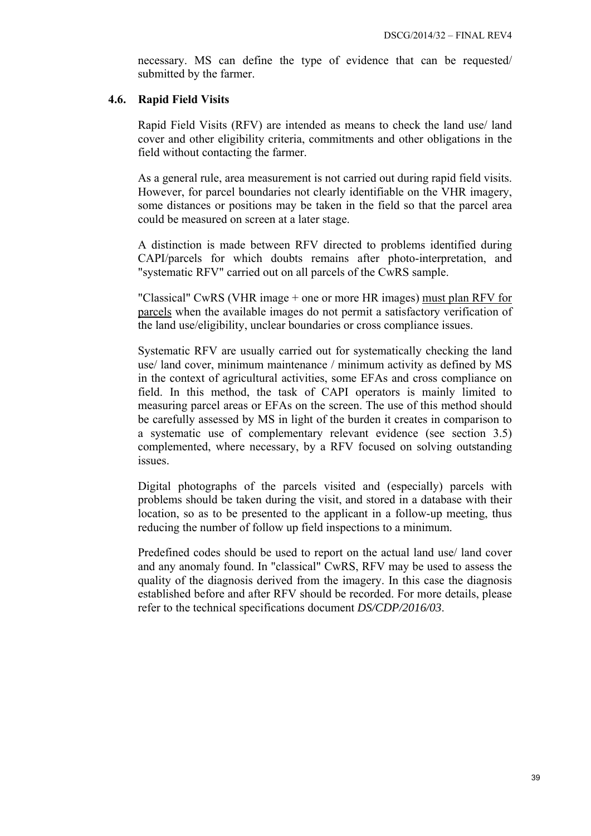necessary. MS can define the type of evidence that can be requested/ submitted by the farmer.

# <span id="page-38-0"></span>**4.6. Rapid Field Visits**

Rapid Field Visits (RFV) are intended as means to check the land use/ land cover and other eligibility criteria, commitments and other obligations in the field without contacting the farmer.

As a general rule, area measurement is not carried out during rapid field visits. However, for parcel boundaries not clearly identifiable on the VHR imagery, some distances or positions may be taken in the field so that the parcel area could be measured on screen at a later stage.

A distinction is made between RFV directed to problems identified during CAPI/parcels for which doubts remains after photo-interpretation, and "systematic RFV" carried out on all parcels of the CwRS sample.

"Classical" CwRS (VHR image + one or more HR images) must plan RFV for parcels when the available images do not permit a satisfactory verification of the land use/eligibility, unclear boundaries or cross compliance issues.

Systematic RFV are usually carried out for systematically checking the land use/ land cover, minimum maintenance / minimum activity as defined by MS in the context of agricultural activities, some EFAs and cross compliance on field. In this method, the task of CAPI operators is mainly limited to measuring parcel areas or EFAs on the screen. The use of this method should be carefully assessed by MS in light of the burden it creates in comparison to a systematic use of complementary relevant evidence (see section 3.5) complemented, where necessary, by a RFV focused on solving outstanding issues.

Digital photographs of the parcels visited and (especially) parcels with problems should be taken during the visit, and stored in a database with their location, so as to be presented to the applicant in a follow-up meeting, thus reducing the number of follow up field inspections to a minimum.

Predefined codes should be used to report on the actual land use/ land cover and any anomaly found. In "classical" CwRS, RFV may be used to assess the quality of the diagnosis derived from the imagery. In this case the diagnosis established before and after RFV should be recorded. For more details, please refer to the technical specifications document *DS/CDP/2016/03*.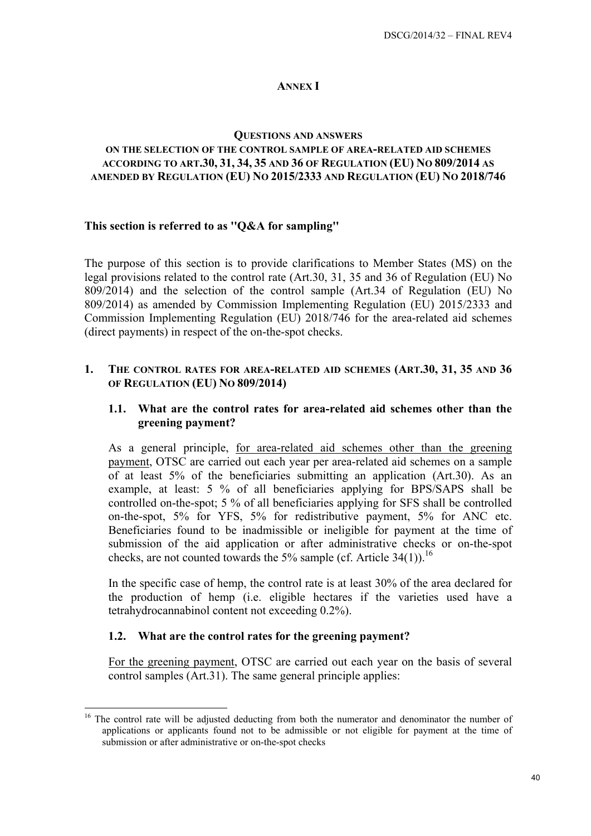### **ANNEX I**

#### **QUESTIONS AND ANSWERS**

#### <span id="page-39-0"></span>**ON THE SELECTION OF THE CONTROL SAMPLE OF AREA-RELATED AID SCHEMES ACCORDING TO ART.30, 31, 34, 35 AND 36 OF REGULATION (EU) NO 809/2014 AS AMENDED BY REGULATION (EU) NO 2015/2333 AND REGULATION (EU) NO 2018/746**

#### **This section is referred to as ''Q&A for sampling''**

The purpose of this section is to provide clarifications to Member States (MS) on the legal provisions related to the control rate (Art.30, 31, 35 and 36 of Regulation (EU) No 809/2014) and the selection of the control sample (Art.34 of Regulation (EU) No 809/2014) as amended by Commission Implementing Regulation (EU) 2015/2333 and Commission Implementing Regulation (EU) 2018/746 for the area-related aid schemes (direct payments) in respect of the on-the-spot checks.

#### <span id="page-39-4"></span><span id="page-39-3"></span><span id="page-39-2"></span>**1. THE CONTROL RATES FOR AREA-RELATED AID SCHEMES (ART.30, 31, 35 AND 36 OF REGULATION (EU) NO 809/2014)**

### **1.1. What are the control rates for area-related aid schemes other than the greening payment?**

As a general principle, for area-related aid schemes other than the greening payment, OTSC are carried out each year per area-related aid schemes on a sample of at least 5% of the beneficiaries submitting an application (Art.30). As an example, at least: 5 % of all beneficiaries applying for BPS/SAPS shall be controlled on-the-spot; 5 % of all beneficiaries applying for SFS shall be controlled on-the-spot, 5% for YFS, 5% for redistributive payment, 5% for ANC etc. Beneficiaries found to be inadmissible or ineligible for payment at the time of submission of the aid application or after administrative checks or on-the-spot checks, are not counted towards the 5% sample (cf. Article 34(1)).<sup>16</sup>

In the specific case of hemp, the control rate is at least 30% of the area declared for the production of hemp (i.e. eligible hectares if the varieties used have a tetrahydrocannabinol content not exceeding 0.2%).

#### <span id="page-39-5"></span><span id="page-39-1"></span>**1.2. What are the control rates for the greening payment?**

1

For the greening payment, OTSC are carried out each year on the basis of several control samples (Art.31). The same general principle applies:

<sup>&</sup>lt;sup>16</sup> The control rate will be adjusted deducting from both the numerator and denominator the number of applications or applicants found not to be admissible or not eligible for payment at the time of submission or after administrative or on-the-spot checks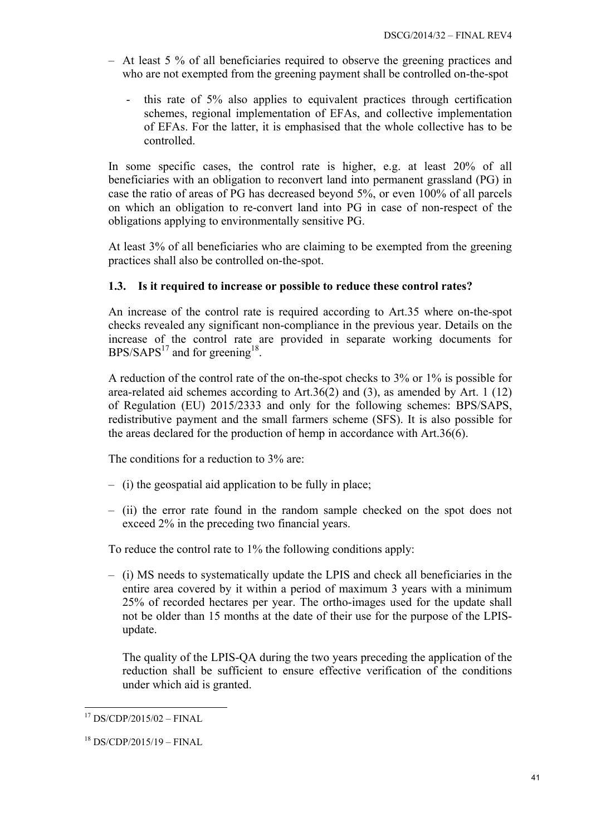- At least 5 % of all beneficiaries required to observe the greening practices and who are not exempted from the greening payment shall be controlled on-the-spot
	- this rate of 5% also applies to equivalent practices through certification schemes, regional implementation of EFAs, and collective implementation of EFAs. For the latter, it is emphasised that the whole collective has to be controlled.

In some specific cases, the control rate is higher, e.g. at least 20% of all beneficiaries with an obligation to reconvert land into permanent grassland (PG) in case the ratio of areas of PG has decreased beyond 5%, or even 100% of all parcels on which an obligation to re-convert land into PG in case of non-respect of the obligations applying to environmentally sensitive PG.

At least 3% of all beneficiaries who are claiming to be exempted from the greening practices shall also be controlled on-the-spot.

# <span id="page-40-0"></span>**1.3. Is it required to increase or possible to reduce these control rates?**

An increase of the control rate is required according to Art.35 where on-the-spot checks revealed any significant non-compliance in the previous year. Details on the increase of the control rate are provided in separate working documents for  $BPS/SAPS<sup>17</sup>$  and for greening<sup>18</sup>.

A reduction of the control rate of the on-the-spot checks to 3% or 1% is possible for area-related aid schemes according to Art.36(2) and (3), as amended by Art. 1 (12) of Regulation (EU) 2015/2333 and only for the following schemes: BPS/SAPS, redistributive payment and the small farmers scheme (SFS). It is also possible for the areas declared for the production of hemp in accordance with Art.36(6).

The conditions for a reduction to 3% are:

- (i) the geospatial aid application to be fully in place;
- (ii) the error rate found in the random sample checked on the spot does not exceed 2% in the preceding two financial years.

To reduce the control rate to 1% the following conditions apply:

– (i) MS needs to systematically update the LPIS and check all beneficiaries in the entire area covered by it within a period of maximum 3 years with a minimum 25% of recorded hectares per year. The ortho-images used for the update shall not be older than 15 months at the date of their use for the purpose of the LPISupdate.

The quality of the LPIS-QA during the two years preceding the application of the reduction shall be sufficient to ensure effective verification of the conditions under which aid is granted.

1

<sup>17</sup> DS/CDP/2015/02 – FINAL

 $18$  DS/CDP/2015/19 – FINAL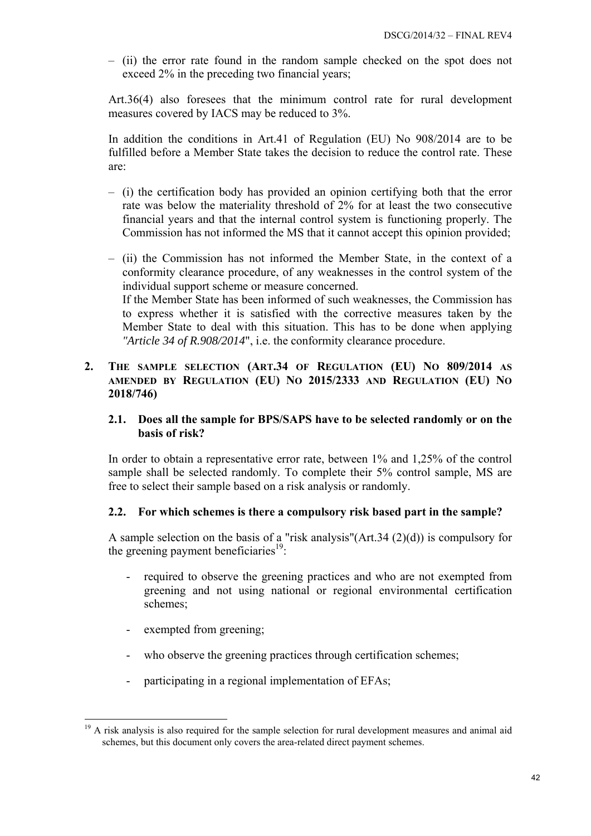– (ii) the error rate found in the random sample checked on the spot does not exceed 2% in the preceding two financial years;

Art.36(4) also foresees that the minimum control rate for rural development measures covered by IACS may be reduced to 3%.

In addition the conditions in Art.41 of Regulation (EU) No 908/2014 are to be fulfilled before a Member State takes the decision to reduce the control rate. These are:

- (i) the certification body has provided an opinion certifying both that the error rate was below the materiality threshold of 2% for at least the two consecutive financial years and that the internal control system is functioning properly. The Commission has not informed the MS that it cannot accept this opinion provided;
- (ii) the Commission has not informed the Member State, in the context of a conformity clearance procedure, of any weaknesses in the control system of the individual support scheme or measure concerned. If the Member State has been informed of such weaknesses, the Commission has to express whether it is satisfied with the corrective measures taken by the Member State to deal with this situation. This has to be done when applying *"Article 34 of R.908/2014*", i.e. the conformity clearance procedure.
- <span id="page-41-2"></span><span id="page-41-1"></span><span id="page-41-0"></span>**2. THE SAMPLE SELECTION (ART.34 OF REGULATION (EU) NO 809/2014 AS AMENDED BY REGULATION (EU) NO 2015/2333 AND REGULATION (EU) NO 2018/746)**

# **2.1. Does all the sample for BPS/SAPS have to be selected randomly or on the basis of risk?**

In order to obtain a representative error rate, between 1% and 1,25% of the control sample shall be selected randomly. To complete their 5% control sample, MS are free to select their sample based on a risk analysis or randomly.

# <span id="page-41-3"></span>**2.2. For which schemes is there a compulsory risk based part in the sample?**

A sample selection on the basis of a "risk analysis"(Art.34 (2)(d)) is compulsory for the greening payment beneficiaries<sup>19</sup>:

- required to observe the greening practices and who are not exempted from greening and not using national or regional environmental certification schemes;
- exempted from greening;
- who observe the greening practices through certification schemes;
- participating in a regional implementation of EFAs;

<sup>1</sup> <sup>19</sup> A risk analysis is also required for the sample selection for rural development measures and animal aid schemes, but this document only covers the area-related direct payment schemes.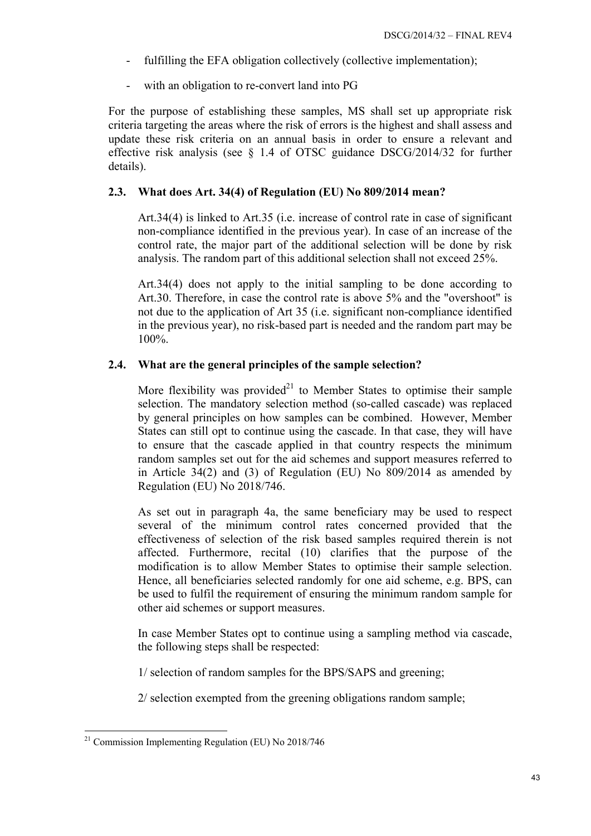- fulfilling the EFA obligation collectively (collective implementation);
- with an obligation to re-convert land into PG

For the purpose of establishing these samples, MS shall set up appropriate risk criteria targeting the areas where the risk of errors is the highest and shall assess and update these risk criteria on an annual basis in order to ensure a relevant and effective risk analysis (see § 1.4 of OTSC guidance DSCG/2014/32 for further details).

### <span id="page-42-0"></span>**2.3. What does Art. 34(4) of Regulation (EU) No 809/2014 mean?**

Art.34(4) is linked to Art.35 (i.e. increase of control rate in case of significant non-compliance identified in the previous year). In case of an increase of the control rate, the major part of the additional selection will be done by risk analysis. The random part of this additional selection shall not exceed 25%.

Art.34(4) does not apply to the initial sampling to be done according to Art.30. Therefore, in case the control rate is above 5% and the "overshoot" is not due to the application of Art 35 (i.e. significant non-compliance identified in the previous year), no risk-based part is needed and the random part may be 100%.

# <span id="page-42-1"></span>**2.4. What are the general principles of the sample selection?**

More flexibility was provided<sup>21</sup> to Member States to optimise their sample selection. The mandatory selection method (so-called cascade) was replaced by general principles on how samples can be combined. However, Member States can still opt to continue using the cascade. In that case, they will have to ensure that the cascade applied in that country respects the minimum random samples set out for the aid schemes and support measures referred to in Article 34(2) and (3) of Regulation (EU) No 809/2014 as amended by Regulation (EU) No 2018/746.

As set out in paragraph 4a, the same beneficiary may be used to respect several of the minimum control rates concerned provided that the effectiveness of selection of the risk based samples required therein is not affected. Furthermore, recital (10) clarifies that the purpose of the modification is to allow Member States to optimise their sample selection. Hence, all beneficiaries selected randomly for one aid scheme, e.g. BPS, can be used to fulfil the requirement of ensuring the minimum random sample for other aid schemes or support measures.

In case Member States opt to continue using a sampling method via cascade, the following steps shall be respected:

1/ selection of random samples for the BPS/SAPS and greening;

2/ selection exempted from the greening obligations random sample;

1

 $21$  Commission Implementing Regulation (EU) No 2018/746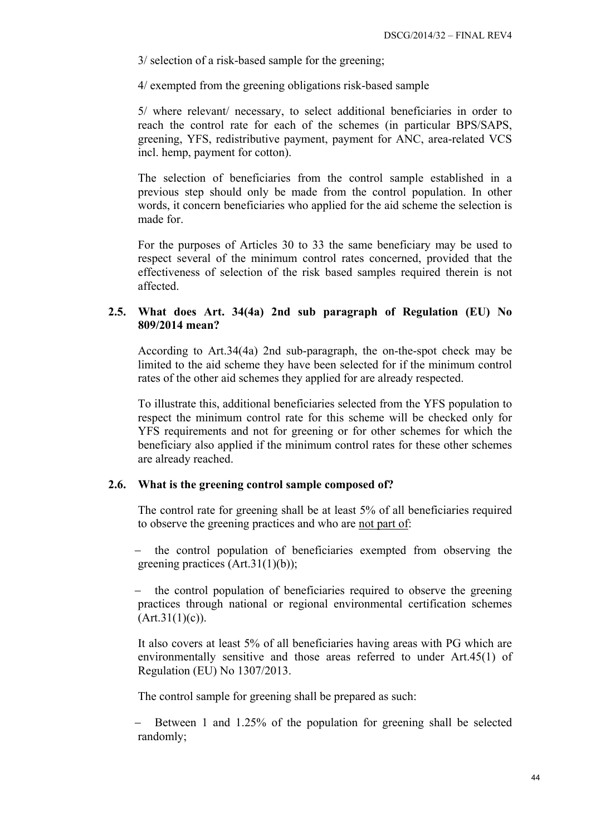3/ selection of a risk-based sample for the greening;

4/ exempted from the greening obligations risk-based sample

5/ where relevant/ necessary, to select additional beneficiaries in order to reach the control rate for each of the schemes (in particular BPS/SAPS, greening, YFS, redistributive payment, payment for ANC, area-related VCS incl. hemp, payment for cotton).

The selection of beneficiaries from the control sample established in a previous step should only be made from the control population. In other words, it concern beneficiaries who applied for the aid scheme the selection is made for.

For the purposes of Articles 30 to 33 the same beneficiary may be used to respect several of the minimum control rates concerned, provided that the effectiveness of selection of the risk based samples required therein is not affected.

### <span id="page-43-0"></span>**2.5. What does Art. 34(4a) 2nd sub paragraph of Regulation (EU) No 809/2014 mean?**

According to Art.34(4a) 2nd sub-paragraph, the on-the-spot check may be limited to the aid scheme they have been selected for if the minimum control rates of the other aid schemes they applied for are already respected.

To illustrate this, additional beneficiaries selected from the YFS population to respect the minimum control rate for this scheme will be checked only for YFS requirements and not for greening or for other schemes for which the beneficiary also applied if the minimum control rates for these other schemes are already reached.

#### <span id="page-43-1"></span>**2.6. What is the greening control sample composed of?**

The control rate for greening shall be at least 5% of all beneficiaries required to observe the greening practices and who are not part of:

− the control population of beneficiaries exempted from observing the greening practices (Art.31(1)(b));

the control population of beneficiaries required to observe the greening practices through national or regional environmental certification schemes  $(Art.31(1)(c)).$ 

It also covers at least 5% of all beneficiaries having areas with PG which are environmentally sensitive and those areas referred to under Art.45(1) of Regulation (EU) No 1307/2013.

The control sample for greening shall be prepared as such:

Between 1 and 1.25% of the population for greening shall be selected randomly;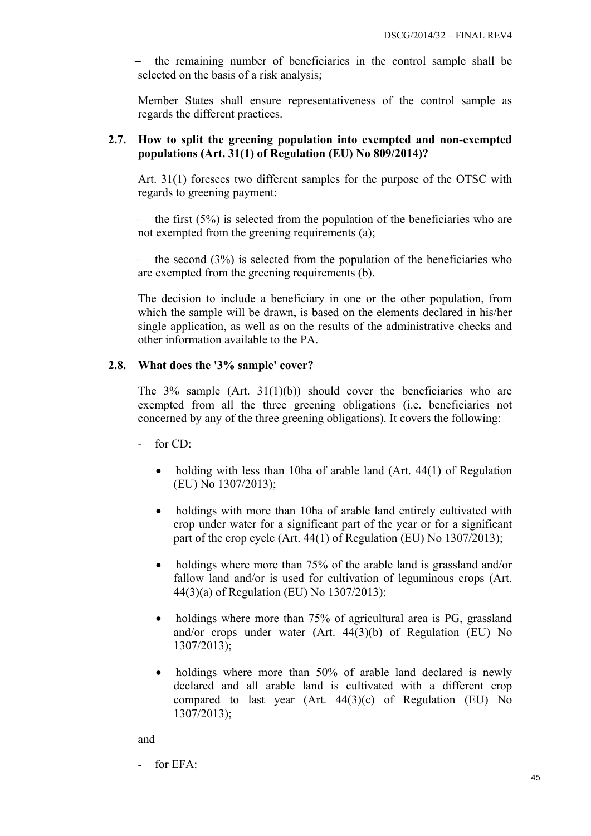the remaining number of beneficiaries in the control sample shall be selected on the basis of a risk analysis;

Member States shall ensure representativeness of the control sample as regards the different practices.

## <span id="page-44-0"></span>**2.7. How to split the greening population into exempted and non-exempted populations (Art. 31(1) of Regulation (EU) No 809/2014)?**

Art. 31(1) foresees two different samples for the purpose of the OTSC with regards to greening payment:

the first  $(5\%)$  is selected from the population of the beneficiaries who are not exempted from the greening requirements (a);

the second  $(3\%)$  is selected from the population of the beneficiaries who are exempted from the greening requirements (b).

The decision to include a beneficiary in one or the other population, from which the sample will be drawn, is based on the elements declared in his/her single application, as well as on the results of the administrative checks and other information available to the PA.

# **2.8. What does the '3% sample' cover?**

The 3% sample (Art. 31(1)(b)) should cover the beneficiaries who are exempted from all the three greening obligations (i.e. beneficiaries not concerned by any of the three greening obligations). It covers the following:

- for CD:
	- holding with less than 10ha of arable land (Art. 44(1) of Regulation (EU) No 1307/2013);
	- holdings with more than 10ha of arable land entirely cultivated with crop under water for a significant part of the year or for a significant part of the crop cycle (Art. 44(1) of Regulation (EU) No 1307/2013);
	- holdings where more than 75% of the arable land is grassland and/or fallow land and/or is used for cultivation of leguminous crops (Art. 44(3)(a) of Regulation (EU) No 1307/2013);
	- holdings where more than 75% of agricultural area is PG, grassland and/or crops under water (Art. 44(3)(b) of Regulation (EU) No 1307/2013);
	- holdings where more than 50% of arable land declared is newly declared and all arable land is cultivated with a different crop compared to last year (Art. 44(3)(c) of Regulation (EU) No 1307/2013);

### and

 $-$  for  $EFA$ .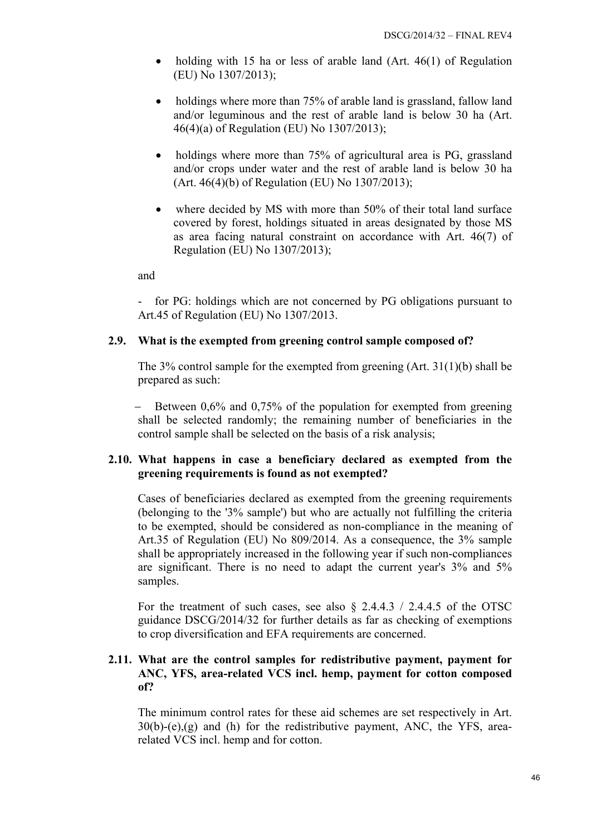- holding with 15 ha or less of arable land (Art. 46(1) of Regulation (EU) No 1307/2013);
- holdings where more than 75% of arable land is grassland, fallow land and/or leguminous and the rest of arable land is below 30 ha (Art. 46(4)(a) of Regulation (EU) No 1307/2013);
- holdings where more than 75% of agricultural area is PG, grassland and/or crops under water and the rest of arable land is below 30 ha (Art. 46(4)(b) of Regulation (EU) No 1307/2013);
- where decided by MS with more than 50% of their total land surface covered by forest, holdings situated in areas designated by those MS as area facing natural constraint on accordance with Art. 46(7) of Regulation (EU) No 1307/2013);

and

- for PG: holdings which are not concerned by PG obligations pursuant to Art.45 of Regulation (EU) No 1307/2013.

# <span id="page-45-0"></span>**2.9. What is the exempted from greening control sample composed of?**

The 3% control sample for the exempted from greening (Art. 31(1)(b) shall be prepared as such:

Between 0,6% and 0,75% of the population for exempted from greening shall be selected randomly; the remaining number of beneficiaries in the control sample shall be selected on the basis of a risk analysis;

# <span id="page-45-1"></span>**2.10. What happens in case a beneficiary declared as exempted from the greening requirements is found as not exempted?**

Cases of beneficiaries declared as exempted from the greening requirements (belonging to the '3% sample') but who are actually not fulfilling the criteria to be exempted, should be considered as non-compliance in the meaning of Art.35 of Regulation (EU) No 809/2014. As a consequence, the 3% sample shall be appropriately increased in the following year if such non-compliances are significant. There is no need to adapt the current year's 3% and 5% samples.

For the treatment of such cases, see also  $\S$  2.4.4.3 / 2.4.4.5 of the OTSC guidance DSCG/2014/32 for further details as far as checking of exemptions to crop diversification and EFA requirements are concerned.

# <span id="page-45-2"></span>**2.11. What are the control samples for redistributive payment, payment for ANC, YFS, area-related VCS incl. hemp, payment for cotton composed of?**

The minimum control rates for these aid schemes are set respectively in Art.  $30(b)-(e),(g)$  and (h) for the redistributive payment, ANC, the YFS, arearelated VCS incl. hemp and for cotton.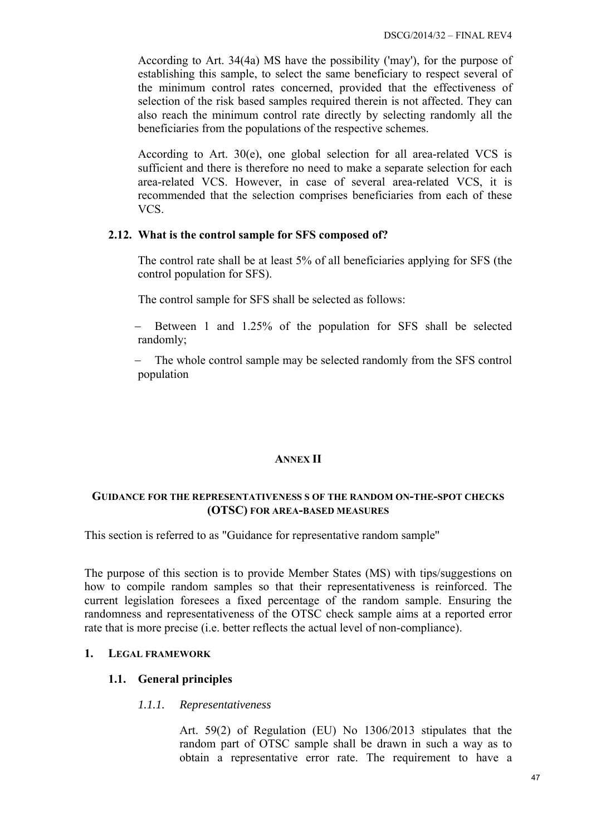According to Art. 34(4a) MS have the possibility ('may'), for the purpose of establishing this sample, to select the same beneficiary to respect several of the minimum control rates concerned, provided that the effectiveness of selection of the risk based samples required therein is not affected. They can also reach the minimum control rate directly by selecting randomly all the beneficiaries from the populations of the respective schemes.

According to Art. 30(e), one global selection for all area-related VCS is sufficient and there is therefore no need to make a separate selection for each area-related VCS. However, in case of several area-related VCS, it is recommended that the selection comprises beneficiaries from each of these VCS.

### <span id="page-46-0"></span>**2.12. What is the control sample for SFS composed of?**

The control rate shall be at least 5% of all beneficiaries applying for SFS (the control population for SFS).

The control sample for SFS shall be selected as follows:

− Between 1 and 1.25% of the population for SFS shall be selected randomly;

The whole control sample may be selected randomly from the SFS control population

### **ANNEX II**

### **GUIDANCE FOR THE REPRESENTATIVENESS S OF THE RANDOM ON-THE-SPOT CHECKS (OTSC) FOR AREA-BASED MEASURES**

This section is referred to as "Guidance for representative random sample''

The purpose of this section is to provide Member States (MS) with tips/suggestions on how to compile random samples so that their representativeness is reinforced. The current legislation foresees a fixed percentage of the random sample. Ensuring the randomness and representativeness of the OTSC check sample aims at a reported error rate that is more precise (i.e. better reflects the actual level of non-compliance).

### **1. LEGAL FRAMEWORK**

# **1.1. General principles**

### *1.1.1. Representativeness*

Art. 59(2) of Regulation (EU) No 1306/2013 stipulates that the random part of OTSC sample shall be drawn in such a way as to obtain a representative error rate. The requirement to have a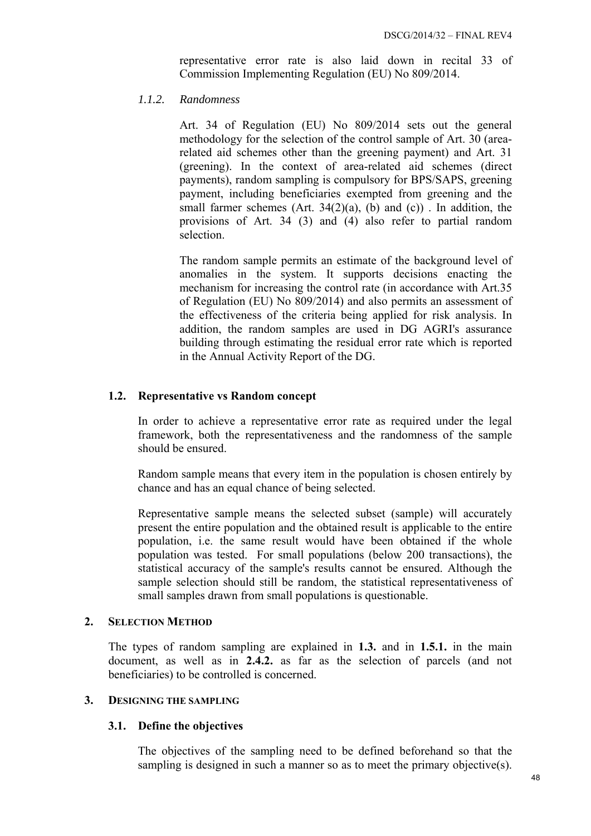representative error rate is also laid down in recital 33 of Commission Implementing Regulation (EU) No 809/2014.

#### *1.1.2. Randomness*

Art. 34 of Regulation (EU) No 809/2014 sets out the general methodology for the selection of the control sample of Art. 30 (arearelated aid schemes other than the greening payment) and Art. 31 (greening). In the context of area-related aid schemes (direct payments), random sampling is compulsory for BPS/SAPS, greening payment, including beneficiaries exempted from greening and the small farmer schemes  $(Art. 34(2)(a), (b)$  and  $(c)$ ). In addition, the provisions of Art. 34 (3) and (4) also refer to partial random selection.

The random sample permits an estimate of the background level of anomalies in the system. It supports decisions enacting the mechanism for increasing the control rate (in accordance with Art.35 of Regulation (EU) No 809/2014) and also permits an assessment of the effectiveness of the criteria being applied for risk analysis. In addition, the random samples are used in DG AGRI's assurance building through estimating the residual error rate which is reported in the Annual Activity Report of the DG.

#### **1.2. Representative vs Random concept**

In order to achieve a representative error rate as required under the legal framework, both the representativeness and the randomness of the sample should be ensured.

Random sample means that every item in the population is chosen entirely by chance and has an equal chance of being selected.

Representative sample means the selected subset (sample) will accurately present the entire population and the obtained result is applicable to the entire population, i.e. the same result would have been obtained if the whole population was tested. For small populations (below 200 transactions), the statistical accuracy of the sample's results cannot be ensured. Although the sample selection should still be random, the statistical representativeness of small samples drawn from small populations is questionable.

#### **2. SELECTION METHOD**

The types of random sampling are explained in **1.3.** and in **1.5.1.** in the main document, as well as in **2.4.2.** as far as the selection of parcels (and not beneficiaries) to be controlled is concerned.

### **3. DESIGNING THE SAMPLING**

# **3.1. Define the objectives**

The objectives of the sampling need to be defined beforehand so that the sampling is designed in such a manner so as to meet the primary objective(s).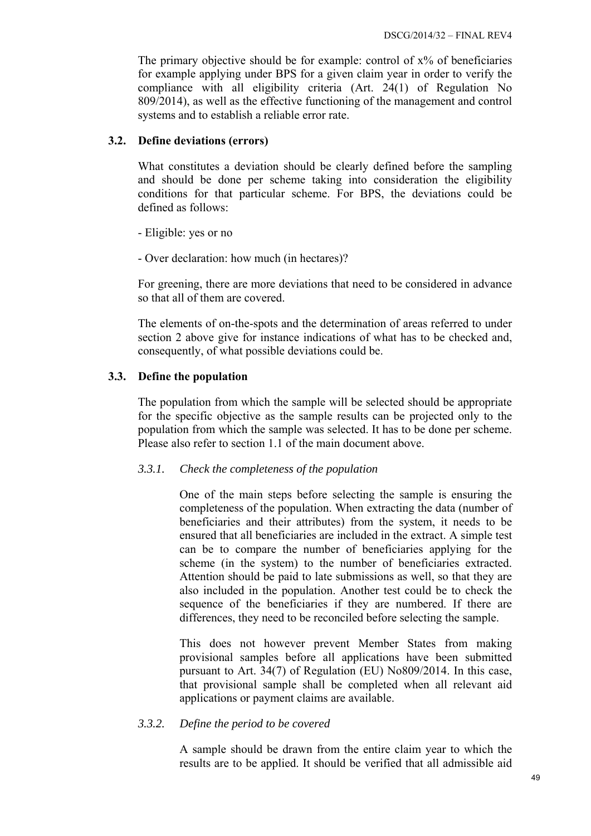The primary objective should be for example: control of x% of beneficiaries for example applying under BPS for a given claim year in order to verify the compliance with all eligibility criteria (Art. 24(1) of Regulation No 809/2014), as well as the effective functioning of the management and control systems and to establish a reliable error rate.

### **3.2. Define deviations (errors)**

What constitutes a deviation should be clearly defined before the sampling and should be done per scheme taking into consideration the eligibility conditions for that particular scheme. For BPS, the deviations could be defined as follows:

- Eligible: yes or no

- Over declaration: how much (in hectares)?

For greening, there are more deviations that need to be considered in advance so that all of them are covered.

The elements of on-the-spots and the determination of areas referred to under section 2 above give for instance indications of what has to be checked and, consequently, of what possible deviations could be.

# **3.3. Define the population**

The population from which the sample will be selected should be appropriate for the specific objective as the sample results can be projected only to the population from which the sample was selected. It has to be done per scheme. Please also refer to section 1.1 of the main document above.

### *3.3.1. Check the completeness of the population*

One of the main steps before selecting the sample is ensuring the completeness of the population. When extracting the data (number of beneficiaries and their attributes) from the system, it needs to be ensured that all beneficiaries are included in the extract. A simple test can be to compare the number of beneficiaries applying for the scheme (in the system) to the number of beneficiaries extracted. Attention should be paid to late submissions as well, so that they are also included in the population. Another test could be to check the sequence of the beneficiaries if they are numbered. If there are differences, they need to be reconciled before selecting the sample.

This does not however prevent Member States from making provisional samples before all applications have been submitted pursuant to Art. 34(7) of Regulation (EU) No809/2014. In this case, that provisional sample shall be completed when all relevant aid applications or payment claims are available.

### *3.3.2. Define the period to be covered*

A sample should be drawn from the entire claim year to which the results are to be applied. It should be verified that all admissible aid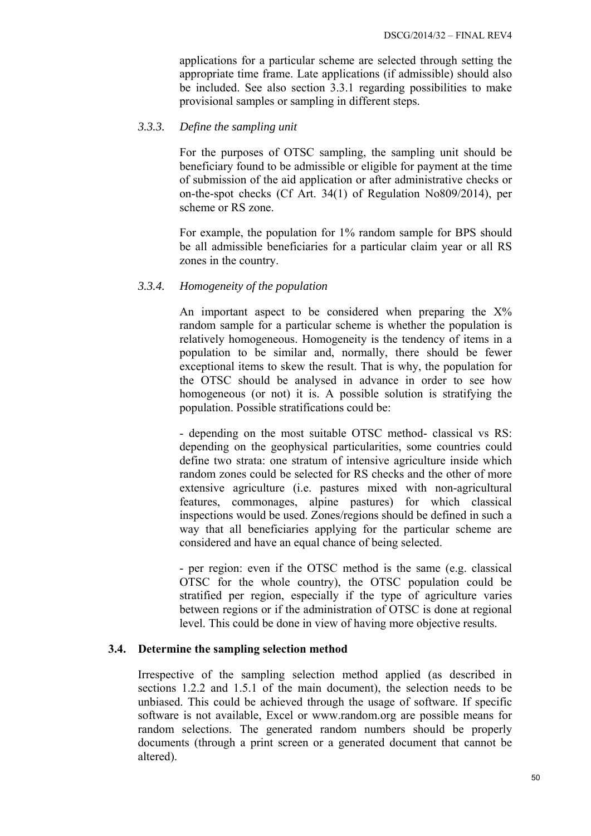applications for a particular scheme are selected through setting the appropriate time frame. Late applications (if admissible) should also be included. See also section 3.3.1 regarding possibilities to make provisional samples or sampling in different steps.

#### *3.3.3. Define the sampling unit*

For the purposes of OTSC sampling, the sampling unit should be beneficiary found to be admissible or eligible for payment at the time of submission of the aid application or after administrative checks or on-the-spot checks (Cf Art. 34(1) of Regulation No809/2014), per scheme or RS zone.

For example, the population for 1% random sample for BPS should be all admissible beneficiaries for a particular claim year or all RS zones in the country.

#### *3.3.4. Homogeneity of the population*

An important aspect to be considered when preparing the  $X\%$ random sample for a particular scheme is whether the population is relatively homogeneous. Homogeneity is the tendency of items in a population to be similar and, normally, there should be fewer exceptional items to skew the result. That is why, the population for the OTSC should be analysed in advance in order to see how homogeneous (or not) it is. A possible solution is stratifying the population. Possible stratifications could be:

- depending on the most suitable OTSC method- classical vs RS: depending on the geophysical particularities, some countries could define two strata: one stratum of intensive agriculture inside which random zones could be selected for RS checks and the other of more extensive agriculture (i.e. pastures mixed with non-agricultural features, commonages, alpine pastures) for which classical inspections would be used. Zones/regions should be defined in such a way that all beneficiaries applying for the particular scheme are considered and have an equal chance of being selected.

- per region: even if the OTSC method is the same (e.g. classical OTSC for the whole country), the OTSC population could be stratified per region, especially if the type of agriculture varies between regions or if the administration of OTSC is done at regional level. This could be done in view of having more objective results.

### **3.4. Determine the sampling selection method**

Irrespective of the sampling selection method applied (as described in sections 1.2.2 and 1.5.1 of the main document), the selection needs to be unbiased. This could be achieved through the usage of software. If specific software is not available, Excel or [www.random.org a](http://www.random.org/)re possible means for random selections. The generated random numbers should be properly documents (through a print screen or a generated document that cannot be altered).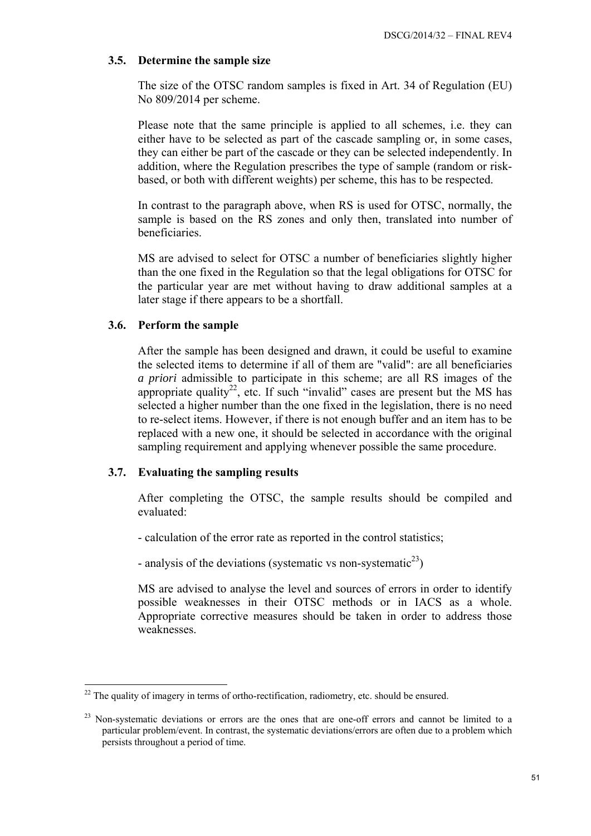# **3.5. Determine the sample size**

The size of the OTSC random samples is fixed in Art. 34 of Regulation (EU) No 809/2014 per scheme.

Please note that the same principle is applied to all schemes, i.e. they can either have to be selected as part of the cascade sampling or, in some cases, they can either be part of the cascade or they can be selected independently. In addition, where the Regulation prescribes the type of sample (random or riskbased, or both with different weights) per scheme, this has to be respected.

In contrast to the paragraph above, when RS is used for OTSC, normally, the sample is based on the RS zones and only then, translated into number of beneficiaries.

MS are advised to select for OTSC a number of beneficiaries slightly higher than the one fixed in the Regulation so that the legal obligations for OTSC for the particular year are met without having to draw additional samples at a later stage if there appears to be a shortfall.

### **3.6. Perform the sample**

After the sample has been designed and drawn, it could be useful to examine the selected items to determine if all of them are "valid": are all beneficiaries *a priori* admissible to participate in this scheme; are all RS images of the appropriate quality<sup>22</sup>, etc. If such "invalid" cases are present but the MS has selected a higher number than the one fixed in the legislation, there is no need to re-select items. However, if there is not enough buffer and an item has to be replaced with a new one, it should be selected in accordance with the original sampling requirement and applying whenever possible the same procedure.

### **3.7. Evaluating the sampling results**

After completing the OTSC, the sample results should be compiled and evaluated:

- calculation of the error rate as reported in the control statistics;
- analysis of the deviations (systematic vs non-systematic<sup>23</sup>)

MS are advised to analyse the level and sources of errors in order to identify possible weaknesses in their OTSC methods or in IACS as a whole. Appropriate corrective measures should be taken in order to address those weaknesses.

<sup>1</sup>  $22$  The quality of imagery in terms of ortho-rectification, radiometry, etc. should be ensured.

<sup>&</sup>lt;sup>23</sup> Non-systematic deviations or errors are the ones that are one-off errors and cannot be limited to a particular problem/event. In contrast, the systematic deviations/errors are often due to a problem which persists throughout a period of time.